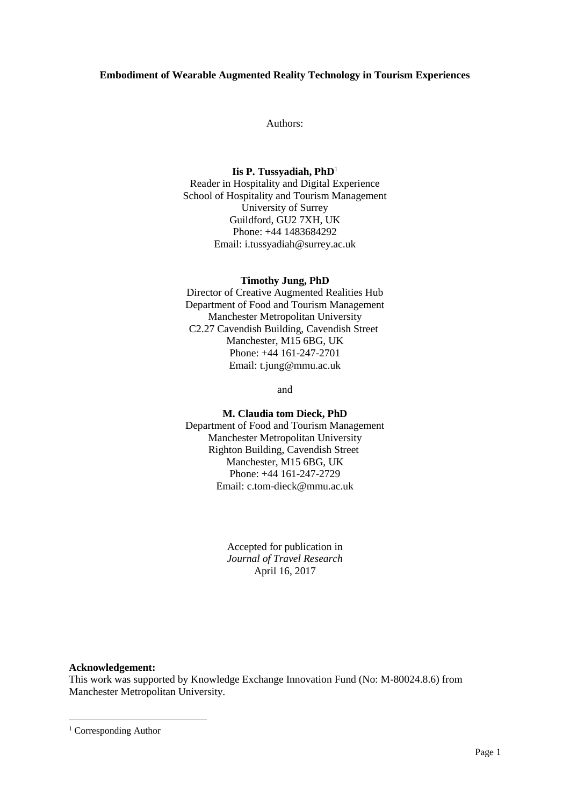# **Embodiment of Wearable Augmented Reality Technology in Tourism Experiences**

Authors:

# **Iis P. Tussyadiah, PhD**<sup>1</sup>

Reader in Hospitality and Digital Experience School of Hospitality and Tourism Management University of Surrey Guildford, GU2 7XH, UK Phone: +44 1483684292 Email: [i.tussyadiah@surrey.ac.uk](mailto:iis.tussyadiah@vancouver.wsu.edu)

# **Timothy Jung, PhD**

Director of Creative Augmented Realities Hub Department of Food and Tourism Management Manchester Metropolitan University C2.27 Cavendish Building, Cavendish Street Manchester, M15 6BG, UK Phone: +44 161-247-2701 Email: [t.jung@mmu.ac.uk](mailto:t.jung@mmu.ac.uk)

and

# **M. Claudia tom Dieck, PhD**

Department of Food and Tourism Management Manchester Metropolitan University Righton Building, Cavendish Street Manchester, M15 6BG, UK Phone: +44 161-247-2729 Email: [c.tom-dieck@mmu.ac.uk](mailto:c.tom-dieck@mmu.ac.uk)

> Accepted for publication in *Journal of Travel Research* April 16, 2017

**Acknowledgement:** 

This work was supported by Knowledge Exchange Innovation Fund (No: M-80024.8.6) from Manchester Metropolitan University.

**.** 

<sup>&</sup>lt;sup>1</sup> Corresponding Author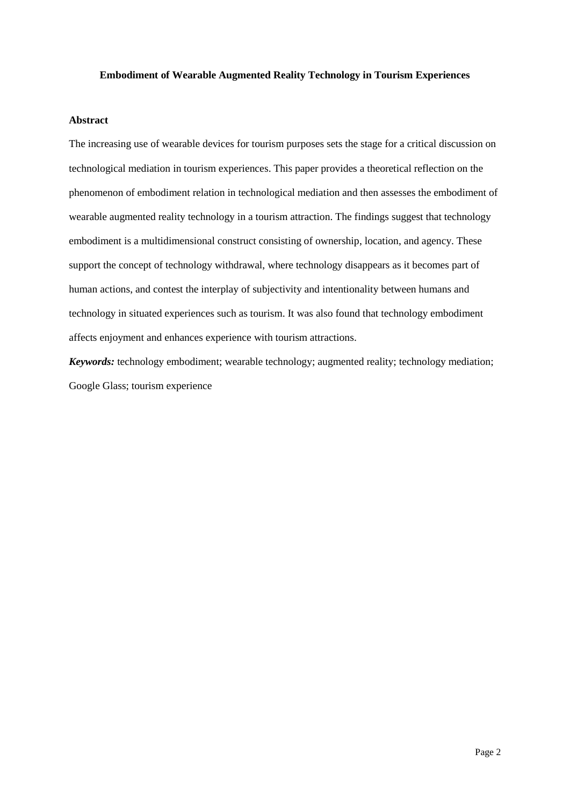### **Embodiment of Wearable Augmented Reality Technology in Tourism Experiences**

# **Abstract**

The increasing use of wearable devices for tourism purposes sets the stage for a critical discussion on technological mediation in tourism experiences. This paper provides a theoretical reflection on the phenomenon of embodiment relation in technological mediation and then assesses the embodiment of wearable augmented reality technology in a tourism attraction. The findings suggest that technology embodiment is a multidimensional construct consisting of ownership, location, and agency. These support the concept of technology withdrawal, where technology disappears as it becomes part of human actions, and contest the interplay of subjectivity and intentionality between humans and technology in situated experiences such as tourism. It was also found that technology embodiment affects enjoyment and enhances experience with tourism attractions.

*Keywords:* technology embodiment; wearable technology; augmented reality; technology mediation; Google Glass; tourism experience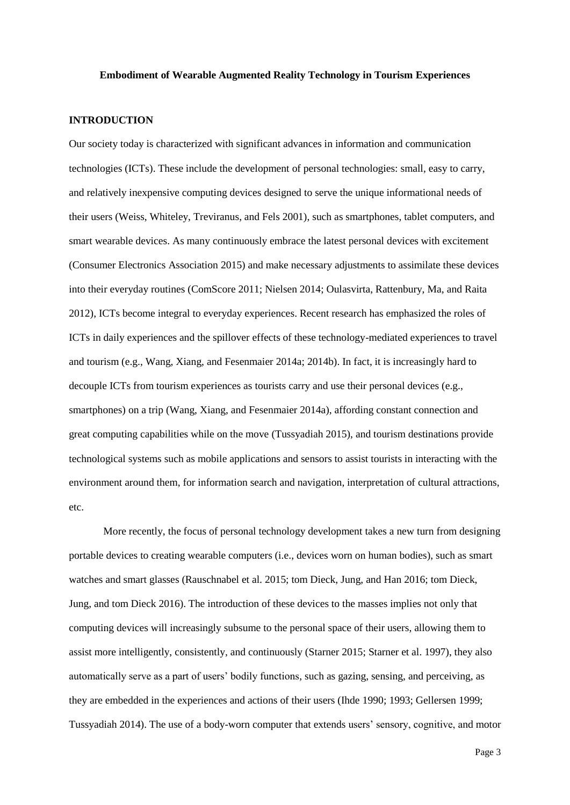#### **Embodiment of Wearable Augmented Reality Technology in Tourism Experiences**

# **INTRODUCTION**

Our society today is characterized with significant advances in information and communication technologies (ICTs). These include the development of personal technologies: small, easy to carry, and relatively inexpensive computing devices designed to serve the unique informational needs of their users (Weiss, Whiteley, Treviranus, and Fels 2001), such as smartphones, tablet computers, and smart wearable devices. As many continuously embrace the latest personal devices with excitement (Consumer Electronics Association 2015) and make necessary adjustments to assimilate these devices into their everyday routines (ComScore 2011; Nielsen 2014; Oulasvirta, Rattenbury, Ma, and Raita 2012), ICTs become integral to everyday experiences. Recent research has emphasized the roles of ICTs in daily experiences and the spillover effects of these technology-mediated experiences to travel and tourism (e.g., Wang, Xiang, and Fesenmaier 2014a; 2014b). In fact, it is increasingly hard to decouple ICTs from tourism experiences as tourists carry and use their personal devices (e.g., smartphones) on a trip (Wang, Xiang, and Fesenmaier 2014a), affording constant connection and great computing capabilities while on the move (Tussyadiah 2015), and tourism destinations provide technological systems such as mobile applications and sensors to assist tourists in interacting with the environment around them, for information search and navigation, interpretation of cultural attractions, etc.

More recently, the focus of personal technology development takes a new turn from designing portable devices to creating wearable computers (i.e., devices worn on human bodies), such as smart watches and smart glasses (Rauschnabel et al. 2015; tom Dieck, Jung, and Han 2016; tom Dieck, Jung, and tom Dieck 2016). The introduction of these devices to the masses implies not only that computing devices will increasingly subsume to the personal space of their users, allowing them to assist more intelligently, consistently, and continuously (Starner 2015; Starner et al. 1997), they also automatically serve as a part of users' bodily functions, such as gazing, sensing, and perceiving, as they are embedded in the experiences and actions of their users (Ihde 1990; 1993; Gellersen 1999; Tussyadiah 2014). The use of a body-worn computer that extends users' sensory, cognitive, and motor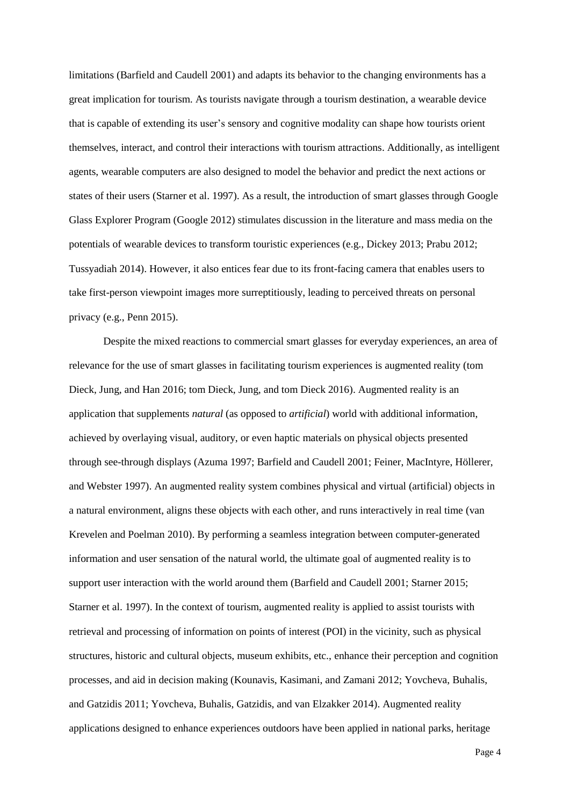limitations (Barfield and Caudell 2001) and adapts its behavior to the changing environments has a great implication for tourism. As tourists navigate through a tourism destination, a wearable device that is capable of extending its user's sensory and cognitive modality can shape how tourists orient themselves, interact, and control their interactions with tourism attractions. Additionally, as intelligent agents, wearable computers are also designed to model the behavior and predict the next actions or states of their users (Starner et al. 1997). As a result, the introduction of smart glasses through Google Glass Explorer Program (Google 2012) stimulates discussion in the literature and mass media on the potentials of wearable devices to transform touristic experiences (e.g., Dickey 2013; Prabu 2012; Tussyadiah 2014). However, it also entices fear due to its front-facing camera that enables users to take first-person viewpoint images more surreptitiously, leading to perceived threats on personal privacy (e.g., Penn 2015).

Despite the mixed reactions to commercial smart glasses for everyday experiences, an area of relevance for the use of smart glasses in facilitating tourism experiences is augmented reality (tom Dieck, Jung, and Han 2016; tom Dieck, Jung, and tom Dieck 2016). Augmented reality is an application that supplements *natural* (as opposed to *artificial*) world with additional information, achieved by overlaying visual, auditory, or even haptic materials on physical objects presented through see-through displays (Azuma 1997; Barfield and Caudell 2001; Feiner, MacIntyre, Höllerer, and Webster 1997). An augmented reality system combines physical and virtual (artificial) objects in a natural environment, aligns these objects with each other, and runs interactively in real time (van Krevelen and Poelman 2010). By performing a seamless integration between computer-generated information and user sensation of the natural world, the ultimate goal of augmented reality is to support user interaction with the world around them (Barfield and Caudell 2001; Starner 2015; Starner et al. 1997). In the context of tourism, augmented reality is applied to assist tourists with retrieval and processing of information on points of interest (POI) in the vicinity, such as physical structures, historic and cultural objects, museum exhibits, etc., enhance their perception and cognition processes, and aid in decision making (Kounavis, Kasimani, and Zamani 2012; Yovcheva, Buhalis, and Gatzidis 2011; Yovcheva, Buhalis, Gatzidis, and van Elzakker 2014). Augmented reality applications designed to enhance experiences outdoors have been applied in national parks, heritage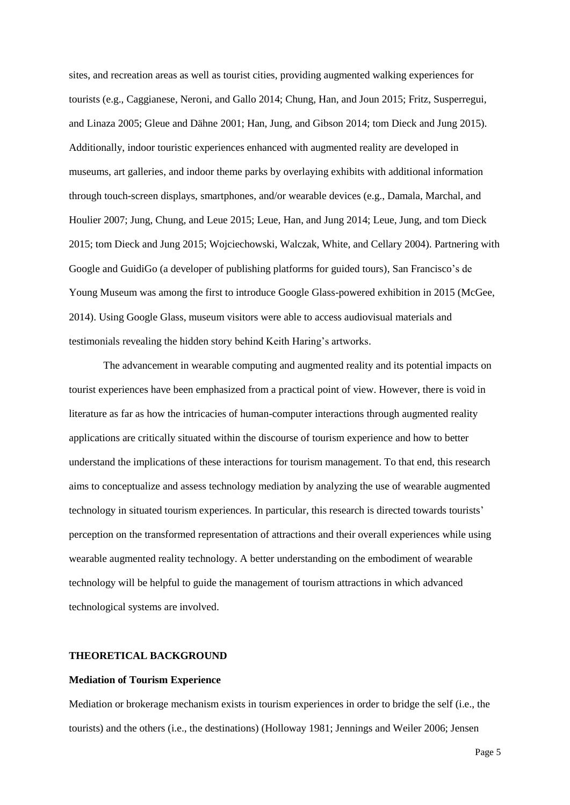sites, and recreation areas as well as tourist cities, providing augmented walking experiences for tourists (e.g., Caggianese, Neroni, and Gallo 2014; Chung, Han, and Joun 2015; Fritz, Susperregui, and Linaza 2005; Gleue and Dähne 2001; Han, Jung, and Gibson 2014; tom Dieck and Jung 2015). Additionally, indoor touristic experiences enhanced with augmented reality are developed in museums, art galleries, and indoor theme parks by overlaying exhibits with additional information through touch-screen displays, smartphones, and/or wearable devices (e.g., Damala, Marchal, and Houlier 2007; Jung, Chung, and Leue 2015; Leue, Han, and Jung 2014; Leue, Jung, and tom Dieck 2015; tom Dieck and Jung 2015; Wojciechowski, Walczak, White, and Cellary 2004). Partnering with Google and GuidiGo (a developer of publishing platforms for guided tours), San Francisco's de Young Museum was among the first to introduce Google Glass-powered exhibition in 2015 (McGee, 2014). Using Google Glass, museum visitors were able to access audiovisual materials and testimonials revealing the hidden story behind Keith Haring's artworks.

The advancement in wearable computing and augmented reality and its potential impacts on tourist experiences have been emphasized from a practical point of view. However, there is void in literature as far as how the intricacies of human-computer interactions through augmented reality applications are critically situated within the discourse of tourism experience and how to better understand the implications of these interactions for tourism management. To that end, this research aims to conceptualize and assess technology mediation by analyzing the use of wearable augmented technology in situated tourism experiences. In particular, this research is directed towards tourists' perception on the transformed representation of attractions and their overall experiences while using wearable augmented reality technology. A better understanding on the embodiment of wearable technology will be helpful to guide the management of tourism attractions in which advanced technological systems are involved.

# **THEORETICAL BACKGROUND**

#### **Mediation of Tourism Experience**

Mediation or brokerage mechanism exists in tourism experiences in order to bridge the self (i.e., the tourists) and the others (i.e., the destinations) (Holloway 1981; Jennings and Weiler 2006; Jensen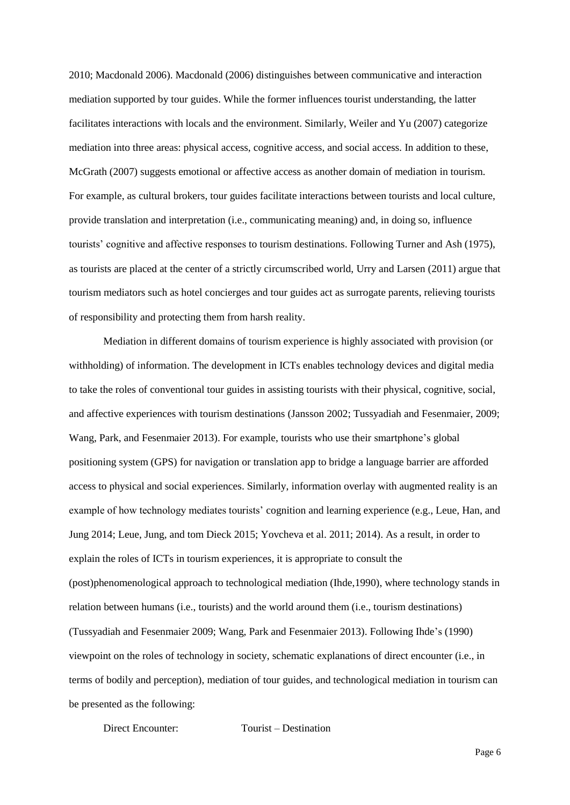2010; Macdonald 2006). Macdonald (2006) distinguishes between communicative and interaction mediation supported by tour guides. While the former influences tourist understanding, the latter facilitates interactions with locals and the environment. Similarly, Weiler and Yu (2007) categorize mediation into three areas: physical access, cognitive access, and social access. In addition to these, McGrath (2007) suggests emotional or affective access as another domain of mediation in tourism. For example, as cultural brokers, tour guides facilitate interactions between tourists and local culture, provide translation and interpretation (i.e., communicating meaning) and, in doing so, influence tourists' cognitive and affective responses to tourism destinations. Following Turner and Ash (1975), as tourists are placed at the center of a strictly circumscribed world, Urry and Larsen (2011) argue that tourism mediators such as hotel concierges and tour guides act as surrogate parents, relieving tourists of responsibility and protecting them from harsh reality.

Mediation in different domains of tourism experience is highly associated with provision (or withholding) of information. The development in ICTs enables technology devices and digital media to take the roles of conventional tour guides in assisting tourists with their physical, cognitive, social, and affective experiences with tourism destinations (Jansson 2002; Tussyadiah and Fesenmaier, 2009; Wang, Park, and Fesenmaier 2013). For example, tourists who use their smartphone's global positioning system (GPS) for navigation or translation app to bridge a language barrier are afforded access to physical and social experiences. Similarly, information overlay with augmented reality is an example of how technology mediates tourists' cognition and learning experience (e.g., Leue, Han, and Jung 2014; Leue, Jung, and tom Dieck 2015; Yovcheva et al. 2011; 2014). As a result, in order to explain the roles of ICTs in tourism experiences, it is appropriate to consult the (post)phenomenological approach to technological mediation (Ihde,1990), where technology stands in relation between humans (i.e., tourists) and the world around them (i.e., tourism destinations) (Tussyadiah and Fesenmaier 2009; Wang, Park and Fesenmaier 2013). Following Ihde's (1990) viewpoint on the roles of technology in society, schematic explanations of direct encounter (i.e., in terms of bodily and perception), mediation of tour guides, and technological mediation in tourism can be presented as the following:

Direct Encounter: Tourist – Destination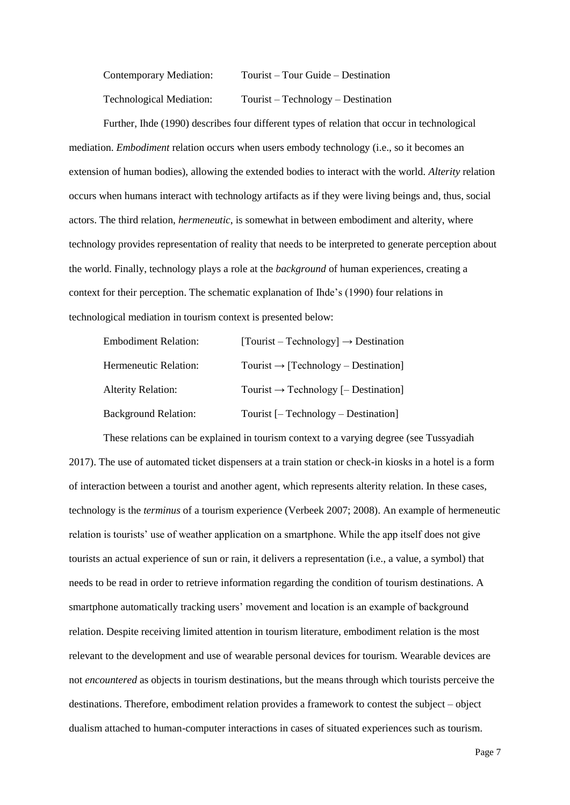| <b>Contemporary Mediation:</b>  | Tourist – Tour Guide – Destination   |
|---------------------------------|--------------------------------------|
| <b>Technological Mediation:</b> | $Tourist - Technology - Destination$ |

Further, Ihde (1990) describes four different types of relation that occur in technological mediation. *Embodiment* relation occurs when users embody technology (i.e., so it becomes an extension of human bodies), allowing the extended bodies to interact with the world. *Alterity* relation occurs when humans interact with technology artifacts as if they were living beings and, thus, social actors. The third relation, *hermeneutic*, is somewhat in between embodiment and alterity, where technology provides representation of reality that needs to be interpreted to generate perception about the world. Finally, technology plays a role at the *background* of human experiences, creating a context for their perception. The schematic explanation of Ihde's (1990) four relations in technological mediation in tourism context is presented below:

| <b>Embodiment Relation:</b> | $[Tourist - Technology] \rightarrow Destination$ |
|-----------------------------|--------------------------------------------------|
| Hermeneutic Relation:       | Tourist $\rightarrow$ [Technology – Destination] |
| <b>Alterity Relation:</b>   | Tourist $\rightarrow$ Technology [- Destination] |
| <b>Background Relation:</b> | Tourist [- Technology - Destination]             |

These relations can be explained in tourism context to a varying degree (see Tussyadiah 2017). The use of automated ticket dispensers at a train station or check-in kiosks in a hotel is a form of interaction between a tourist and another agent, which represents alterity relation. In these cases, technology is the *terminus* of a tourism experience (Verbeek 2007; 2008). An example of hermeneutic relation is tourists' use of weather application on a smartphone. While the app itself does not give tourists an actual experience of sun or rain, it delivers a representation (i.e., a value, a symbol) that needs to be read in order to retrieve information regarding the condition of tourism destinations. A smartphone automatically tracking users' movement and location is an example of background relation. Despite receiving limited attention in tourism literature, embodiment relation is the most relevant to the development and use of wearable personal devices for tourism. Wearable devices are not *encountered* as objects in tourism destinations, but the means through which tourists perceive the destinations. Therefore, embodiment relation provides a framework to contest the subject – object dualism attached to human-computer interactions in cases of situated experiences such as tourism.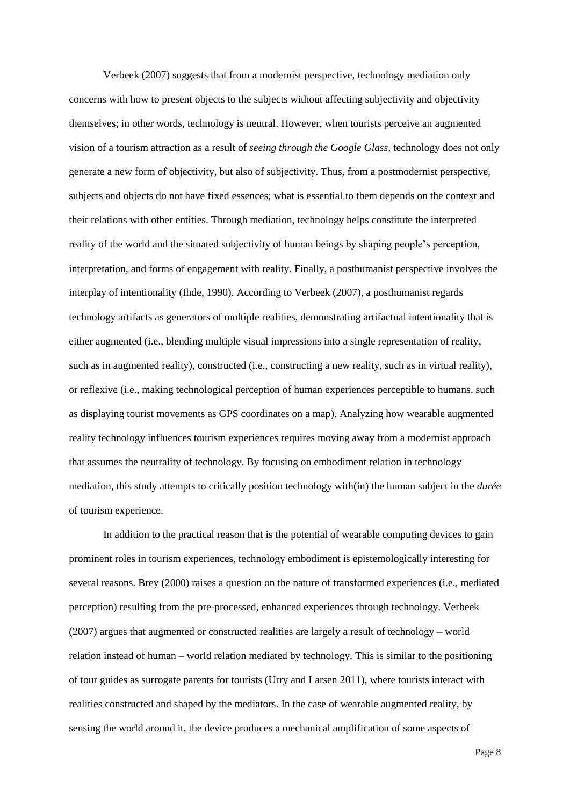Verbeek (2007) suggests that from a modernist perspective, technology mediation only concerns with how to present objects to the subjects without affecting subjectivity and objectivity themselves; in other words, technology is neutral. However, when tourists perceive an augmented vision of a tourism attraction as a result of *seeing through the Google Glass*, technology does not only generate a new form of objectivity, but also of subjectivity. Thus, from a postmodernist perspective, subjects and objects do not have fixed essences; what is essential to them depends on the context and their relations with other entities. Through mediation, technology helps constitute the interpreted reality of the world and the situated subjectivity of human beings by shaping people's perception, interpretation, and forms of engagement with reality. Finally, a posthumanist perspective involves the interplay of intentionality (Ihde, 1990). According to Verbeek (2007), a posthumanist regards technology artifacts as generators of multiple realities, demonstrating artifactual intentionality that is either augmented (i.e., blending multiple visual impressions into a single representation of reality, such as in augmented reality), constructed (i.e., constructing a new reality, such as in virtual reality), or reflexive (i.e., making technological perception of human experiences perceptible to humans, such as displaying tourist movements as GPS coordinates on a map). Analyzing how wearable augmented reality technology influences tourism experiences requires moving away from a modernist approach that assumes the neutrality of technology. By focusing on embodiment relation in technology mediation, this study attempts to critically position technology with(in) the human subject in the *durée* of tourism experience.

In addition to the practical reason that is the potential of wearable computing devices to gain prominent roles in tourism experiences, technology embodiment is epistemologically interesting for several reasons. Brey (2000) raises a question on the nature of transformed experiences (i.e., mediated perception) resulting from the pre-processed, enhanced experiences through technology. Verbeek (2007) argues that augmented or constructed realities are largely a result of technology – world relation instead of human – world relation mediated by technology. This is similar to the positioning of tour guides as surrogate parents for tourists (Urry and Larsen 2011), where tourists interact with realities constructed and shaped by the mediators. In the case of wearable augmented reality, by sensing the world around it, the device produces a mechanical amplification of some aspects of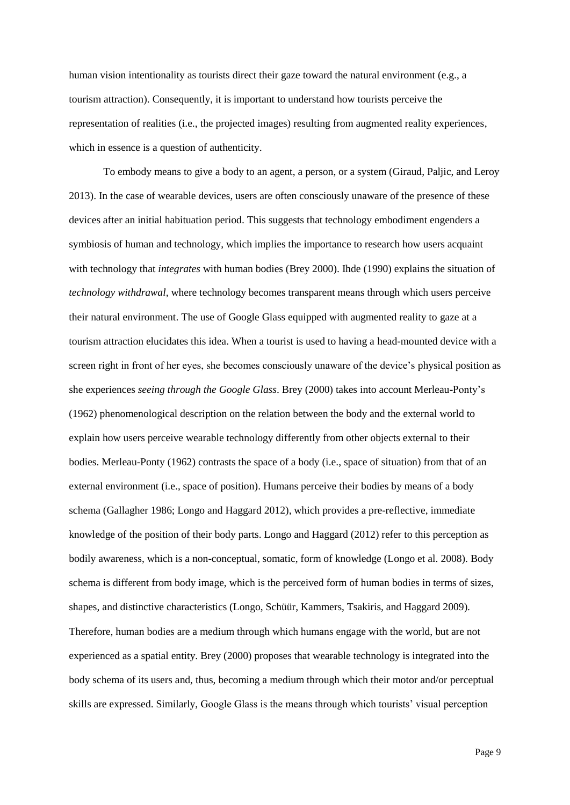human vision intentionality as tourists direct their gaze toward the natural environment (e.g., a tourism attraction). Consequently, it is important to understand how tourists perceive the representation of realities (i.e., the projected images) resulting from augmented reality experiences, which in essence is a question of authenticity.

To embody means to give a body to an agent, a person, or a system (Giraud, Paljic, and Leroy 2013). In the case of wearable devices, users are often consciously unaware of the presence of these devices after an initial habituation period. This suggests that technology embodiment engenders a symbiosis of human and technology, which implies the importance to research how users acquaint with technology that *integrates* with human bodies (Brey 2000). Ihde (1990) explains the situation of *technology withdrawal,* where technology becomes transparent means through which users perceive their natural environment. The use of Google Glass equipped with augmented reality to gaze at a tourism attraction elucidates this idea. When a tourist is used to having a head-mounted device with a screen right in front of her eyes, she becomes consciously unaware of the device's physical position as she experiences *seeing through the Google Glass*. Brey (2000) takes into account Merleau-Ponty's (1962) phenomenological description on the relation between the body and the external world to explain how users perceive wearable technology differently from other objects external to their bodies. Merleau-Ponty (1962) contrasts the space of a body (i.e., space of situation) from that of an external environment (i.e., space of position). Humans perceive their bodies by means of a body schema (Gallagher 1986; Longo and Haggard 2012), which provides a pre-reflective, immediate knowledge of the position of their body parts. Longo and Haggard (2012) refer to this perception as bodily awareness, which is a non-conceptual, somatic, form of knowledge (Longo et al. 2008). Body schema is different from body image, which is the perceived form of human bodies in terms of sizes, shapes, and distinctive characteristics (Longo, Schüür, Kammers, Tsakiris, and Haggard 2009). Therefore, human bodies are a medium through which humans engage with the world, but are not experienced as a spatial entity. Brey (2000) proposes that wearable technology is integrated into the body schema of its users and, thus, becoming a medium through which their motor and/or perceptual skills are expressed. Similarly, Google Glass is the means through which tourists' visual perception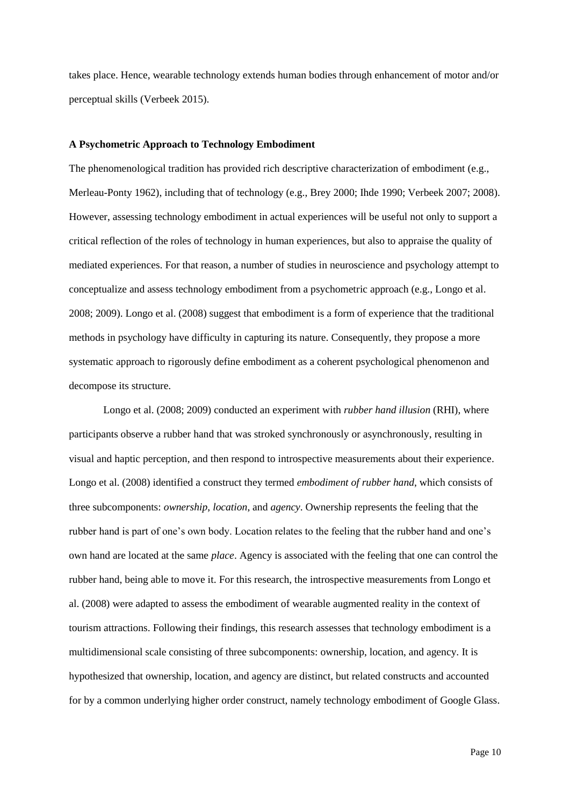takes place. Hence, wearable technology extends human bodies through enhancement of motor and/or perceptual skills (Verbeek 2015).

#### **A Psychometric Approach to Technology Embodiment**

The phenomenological tradition has provided rich descriptive characterization of embodiment (e.g., Merleau-Ponty 1962), including that of technology (e.g., Brey 2000; Ihde 1990; Verbeek 2007; 2008). However, assessing technology embodiment in actual experiences will be useful not only to support a critical reflection of the roles of technology in human experiences, but also to appraise the quality of mediated experiences. For that reason, a number of studies in neuroscience and psychology attempt to conceptualize and assess technology embodiment from a psychometric approach (e.g., Longo et al. 2008; 2009). Longo et al. (2008) suggest that embodiment is a form of experience that the traditional methods in psychology have difficulty in capturing its nature. Consequently, they propose a more systematic approach to rigorously define embodiment as a coherent psychological phenomenon and decompose its structure.

Longo et al. (2008; 2009) conducted an experiment with *rubber hand illusion* (RHI), where participants observe a rubber hand that was stroked synchronously or asynchronously, resulting in visual and haptic perception, and then respond to introspective measurements about their experience. Longo et al. (2008) identified a construct they termed *embodiment of rubber hand*, which consists of three subcomponents: *ownership*, *location*, and *agency*. Ownership represents the feeling that the rubber hand is part of one's own body. Location relates to the feeling that the rubber hand and one's own hand are located at the same *place*. Agency is associated with the feeling that one can control the rubber hand, being able to move it. For this research, the introspective measurements from Longo et al. (2008) were adapted to assess the embodiment of wearable augmented reality in the context of tourism attractions. Following their findings, this research assesses that technology embodiment is a multidimensional scale consisting of three subcomponents: ownership, location, and agency. It is hypothesized that ownership, location, and agency are distinct, but related constructs and accounted for by a common underlying higher order construct, namely technology embodiment of Google Glass.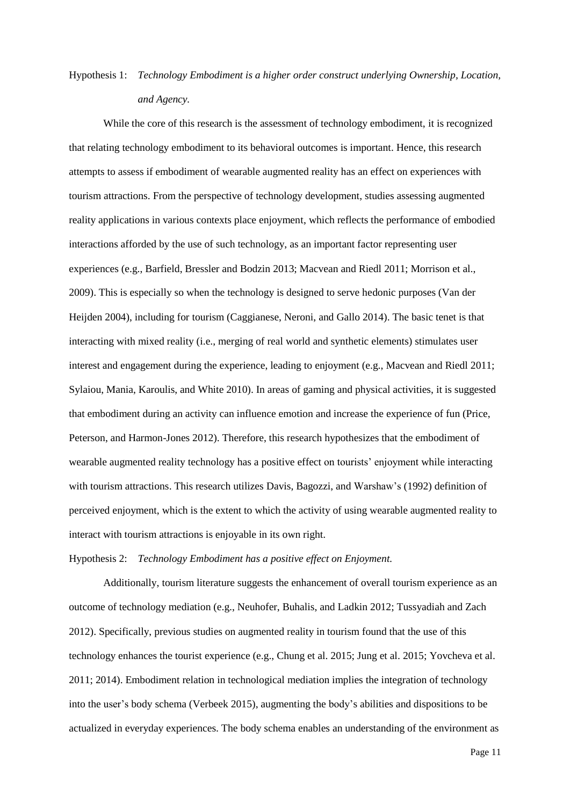Hypothesis 1: *Technology Embodiment is a higher order construct underlying Ownership, Location, and Agency.* 

While the core of this research is the assessment of technology embodiment, it is recognized that relating technology embodiment to its behavioral outcomes is important. Hence, this research attempts to assess if embodiment of wearable augmented reality has an effect on experiences with tourism attractions. From the perspective of technology development, studies assessing augmented reality applications in various contexts place enjoyment, which reflects the performance of embodied interactions afforded by the use of such technology, as an important factor representing user experiences (e.g., Barfield, Bressler and Bodzin 2013; Macvean and Riedl 2011; Morrison et al., 2009). This is especially so when the technology is designed to serve hedonic purposes (Van der Heijden 2004), including for tourism (Caggianese, Neroni, and Gallo 2014). The basic tenet is that interacting with mixed reality (i.e., merging of real world and synthetic elements) stimulates user interest and engagement during the experience, leading to enjoyment (e.g., Macvean and Riedl 2011; Sylaiou, Mania, Karoulis, and White 2010). In areas of gaming and physical activities, it is suggested that embodiment during an activity can influence emotion and increase the experience of fun (Price, Peterson, and Harmon-Jones 2012). Therefore, this research hypothesizes that the embodiment of wearable augmented reality technology has a positive effect on tourists' enjoyment while interacting with tourism attractions. This research utilizes Davis, Bagozzi, and Warshaw's (1992) definition of perceived enjoyment, which is the extent to which the activity of using wearable augmented reality to interact with tourism attractions is enjoyable in its own right.

#### Hypothesis 2: *Technology Embodiment has a positive effect on Enjoyment.*

Additionally, tourism literature suggests the enhancement of overall tourism experience as an outcome of technology mediation (e.g., Neuhofer, Buhalis, and Ladkin 2012; Tussyadiah and Zach 2012). Specifically, previous studies on augmented reality in tourism found that the use of this technology enhances the tourist experience (e.g., Chung et al. 2015; Jung et al. 2015; Yovcheva et al. 2011; 2014). Embodiment relation in technological mediation implies the integration of technology into the user's body schema (Verbeek 2015), augmenting the body's abilities and dispositions to be actualized in everyday experiences. The body schema enables an understanding of the environment as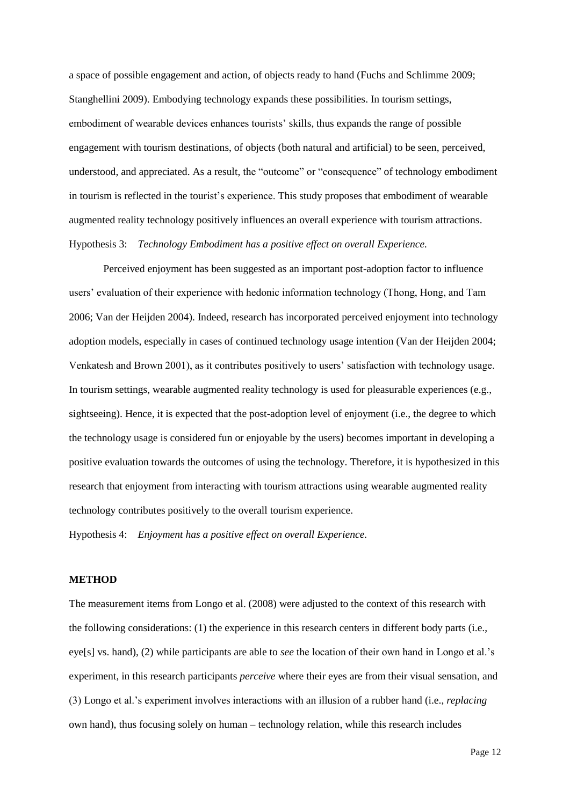a space of possible engagement and action, of objects ready to hand (Fuchs and Schlimme 2009; Stanghellini 2009). Embodying technology expands these possibilities. In tourism settings, embodiment of wearable devices enhances tourists' skills, thus expands the range of possible engagement with tourism destinations, of objects (both natural and artificial) to be seen, perceived, understood, and appreciated. As a result, the "outcome" or "consequence" of technology embodiment in tourism is reflected in the tourist's experience. This study proposes that embodiment of wearable augmented reality technology positively influences an overall experience with tourism attractions. Hypothesis 3: *Technology Embodiment has a positive effect on overall Experience.*

Perceived enjoyment has been suggested as an important post-adoption factor to influence users' evaluation of their experience with hedonic information technology (Thong, Hong, and Tam 2006; Van der Heijden 2004). Indeed, research has incorporated perceived enjoyment into technology adoption models, especially in cases of continued technology usage intention (Van der Heijden 2004; Venkatesh and Brown 2001), as it contributes positively to users' satisfaction with technology usage. In tourism settings, wearable augmented reality technology is used for pleasurable experiences (e.g., sightseeing). Hence, it is expected that the post-adoption level of enjoyment (i.e., the degree to which the technology usage is considered fun or enjoyable by the users) becomes important in developing a positive evaluation towards the outcomes of using the technology. Therefore, it is hypothesized in this research that enjoyment from interacting with tourism attractions using wearable augmented reality technology contributes positively to the overall tourism experience.

Hypothesis 4: *Enjoyment has a positive effect on overall Experience.* 

# **METHOD**

The measurement items from Longo et al. (2008) were adjusted to the context of this research with the following considerations: (1) the experience in this research centers in different body parts (i.e., eye[s] vs. hand), (2) while participants are able to *see* the location of their own hand in Longo et al.'s experiment, in this research participants *perceive* where their eyes are from their visual sensation, and (3) Longo et al.'s experiment involves interactions with an illusion of a rubber hand (i.e., *replacing* own hand), thus focusing solely on human – technology relation, while this research includes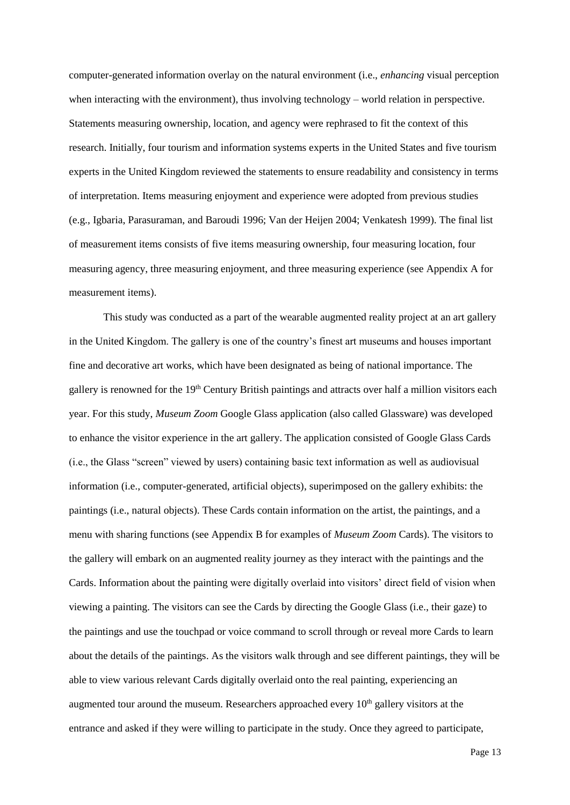computer-generated information overlay on the natural environment (i.e., *enhancing* visual perception when interacting with the environment), thus involving technology – world relation in perspective. Statements measuring ownership, location, and agency were rephrased to fit the context of this research. Initially, four tourism and information systems experts in the United States and five tourism experts in the United Kingdom reviewed the statements to ensure readability and consistency in terms of interpretation. Items measuring enjoyment and experience were adopted from previous studies (e.g., Igbaria, Parasuraman, and Baroudi 1996; Van der Heijen 2004; Venkatesh 1999). The final list of measurement items consists of five items measuring ownership, four measuring location, four measuring agency, three measuring enjoyment, and three measuring experience (see Appendix A for measurement items).

This study was conducted as a part of the wearable augmented reality project at an art gallery in the United Kingdom. The gallery is one of the country's finest art museums and houses important fine and decorative art works, which have been designated as being of national importance. The gallery is renowned for the 19<sup>th</sup> Century British paintings and attracts over half a million visitors each year. For this study, *Museum Zoom* Google Glass application (also called Glassware) was developed to enhance the visitor experience in the art gallery. The application consisted of Google Glass Cards (i.e., the Glass "screen" viewed by users) containing basic text information as well as audiovisual information (i.e., computer-generated, artificial objects), superimposed on the gallery exhibits: the paintings (i.e., natural objects). These Cards contain information on the artist, the paintings, and a menu with sharing functions (see Appendix B for examples of *Museum Zoom* Cards). The visitors to the gallery will embark on an augmented reality journey as they interact with the paintings and the Cards. Information about the painting were digitally overlaid into visitors' direct field of vision when viewing a painting. The visitors can see the Cards by directing the Google Glass (i.e., their gaze) to the paintings and use the touchpad or voice command to scroll through or reveal more Cards to learn about the details of the paintings. As the visitors walk through and see different paintings, they will be able to view various relevant Cards digitally overlaid onto the real painting, experiencing an augmented tour around the museum. Researchers approached every  $10<sup>th</sup>$  gallery visitors at the entrance and asked if they were willing to participate in the study. Once they agreed to participate,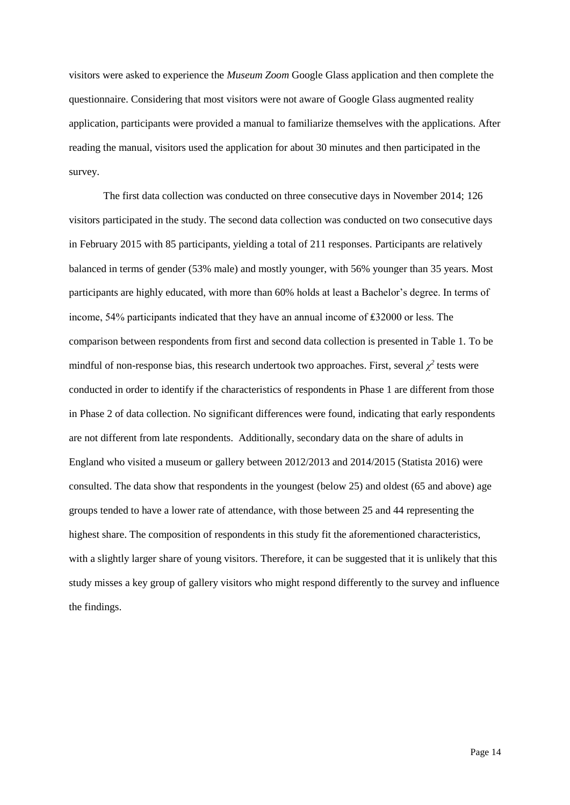visitors were asked to experience the *Museum Zoom* Google Glass application and then complete the questionnaire. Considering that most visitors were not aware of Google Glass augmented reality application, participants were provided a manual to familiarize themselves with the applications. After reading the manual, visitors used the application for about 30 minutes and then participated in the survey.

The first data collection was conducted on three consecutive days in November 2014; 126 visitors participated in the study. The second data collection was conducted on two consecutive days in February 2015 with 85 participants, yielding a total of 211 responses. Participants are relatively balanced in terms of gender (53% male) and mostly younger, with 56% younger than 35 years. Most participants are highly educated, with more than 60% holds at least a Bachelor's degree. In terms of income, 54% participants indicated that they have an annual income of ₤32000 or less. The comparison between respondents from first and second data collection is presented in Table 1. To be mindful of non-response bias, this research undertook two approaches. First, several  $\chi^2$  tests were conducted in order to identify if the characteristics of respondents in Phase 1 are different from those in Phase 2 of data collection. No significant differences were found, indicating that early respondents are not different from late respondents. Additionally, secondary data on the share of adults in England who visited a museum or gallery between 2012/2013 and 2014/2015 (Statista 2016) were consulted. The data show that respondents in the youngest (below 25) and oldest (65 and above) age groups tended to have a lower rate of attendance, with those between 25 and 44 representing the highest share. The composition of respondents in this study fit the aforementioned characteristics, with a slightly larger share of young visitors. Therefore, it can be suggested that it is unlikely that this study misses a key group of gallery visitors who might respond differently to the survey and influence the findings.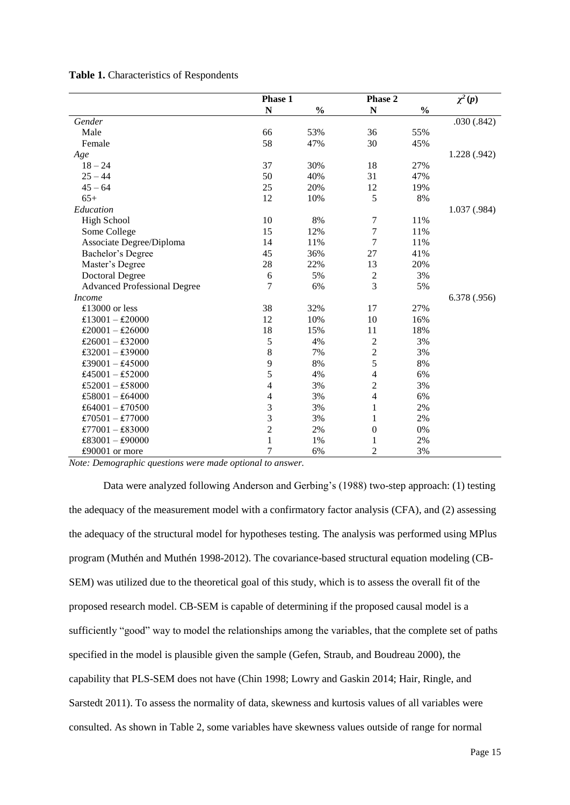|                                     | Phase 1                  |               | <b>Phase 2</b>           |               | $\chi^2(p)$  |
|-------------------------------------|--------------------------|---------------|--------------------------|---------------|--------------|
|                                     | ${\bf N}$                | $\frac{0}{0}$ | $\mathbf N$              | $\frac{0}{0}$ |              |
| Gender                              |                          |               |                          |               | .030(.842)   |
| Male                                | 66                       | 53%           | 36                       | 55%           |              |
| Female                              | 58                       | 47%           | 30                       | 45%           |              |
| Age                                 |                          |               |                          |               | 1.228 (.942) |
| $18 - 24$                           | 37                       | 30%           | 18                       | 27%           |              |
| $25 - 44$                           | 50                       | 40%           | 31                       | 47%           |              |
| $45 - 64$                           | 25                       | 20%           | 12                       | 19%           |              |
| $65+$                               | 12                       | 10%           | 5                        | 8%            |              |
| Education                           |                          |               |                          |               | 1.037 (.984) |
| <b>High School</b>                  | 10                       | 8%            | 7                        | 11%           |              |
| Some College                        | 15                       | 12%           | 7                        | 11%           |              |
| Associate Degree/Diploma            | 14                       | 11%           | 7                        | 11%           |              |
| Bachelor's Degree                   | 45                       | 36%           | 27                       | 41%           |              |
| Master's Degree                     | 28                       | 22%           | 13                       | 20%           |              |
| <b>Doctoral Degree</b>              | 6                        | 5%            | $\overline{c}$           | 3%            |              |
| <b>Advanced Professional Degree</b> | 7                        | 6%            | 3                        | 5%            |              |
| <i>Income</i>                       |                          |               |                          |               | 6.378 (.956) |
| £13000 or less                      | 38                       | 32%           | 17                       | 27%           |              |
| £13001 - £20000                     | 12                       | 10%           | 10                       | 16%           |              |
| $£20001 - £26000$                   | 18                       | 15%           | 11                       | 18%           |              |
| £26001 - £32000                     | 5                        | 4%            | 2                        | 3%            |              |
| £32001 - £39000                     | $8\,$                    | 7%            | $\overline{c}$           | 3%            |              |
| £39001 - £45000                     | 9                        | 8%            | 5                        | 8%            |              |
| £45001 - £52000                     | 5                        | 4%            | $\overline{\mathcal{A}}$ | 6%            |              |
| £52001 - £58000                     | $\overline{\mathcal{L}}$ | 3%            | $\overline{c}$           | 3%            |              |
| £58001 - £64000                     | 4                        | 3%            | $\overline{4}$           | 6%            |              |
| £64001 - £70500                     | 3                        | 3%            | 1                        | 2%            |              |
| £70501 - £77000                     | 3                        | 3%            | 1                        | 2%            |              |
| £77001 - £83000                     | $\overline{2}$           | 2%            | $\boldsymbol{0}$         | 0%            |              |
| £83001 - £90000                     | $\mathbf{1}$             | 1%            | 1                        | 2%            |              |
| £90001 or more                      | $\overline{7}$           | 6%            | $\overline{2}$           | 3%            |              |

#### **Table 1.** Characteristics of Respondents

*Note: Demographic questions were made optional to answer.* 

Data were analyzed following Anderson and Gerbing's (1988) two-step approach: (1) testing the adequacy of the measurement model with a confirmatory factor analysis (CFA), and (2) assessing the adequacy of the structural model for hypotheses testing. The analysis was performed using MPlus program (Muthén and Muthén 1998-2012). The covariance-based structural equation modeling (CB-SEM) was utilized due to the theoretical goal of this study, which is to assess the overall fit of the proposed research model. CB-SEM is capable of determining if the proposed causal model is a sufficiently "good" way to model the relationships among the variables, that the complete set of paths specified in the model is plausible given the sample (Gefen, Straub, and Boudreau 2000), the capability that PLS-SEM does not have (Chin 1998; Lowry and Gaskin 2014; Hair, Ringle, and Sarstedt 2011). To assess the normality of data, skewness and kurtosis values of all variables were consulted. As shown in Table 2, some variables have skewness values outside of range for normal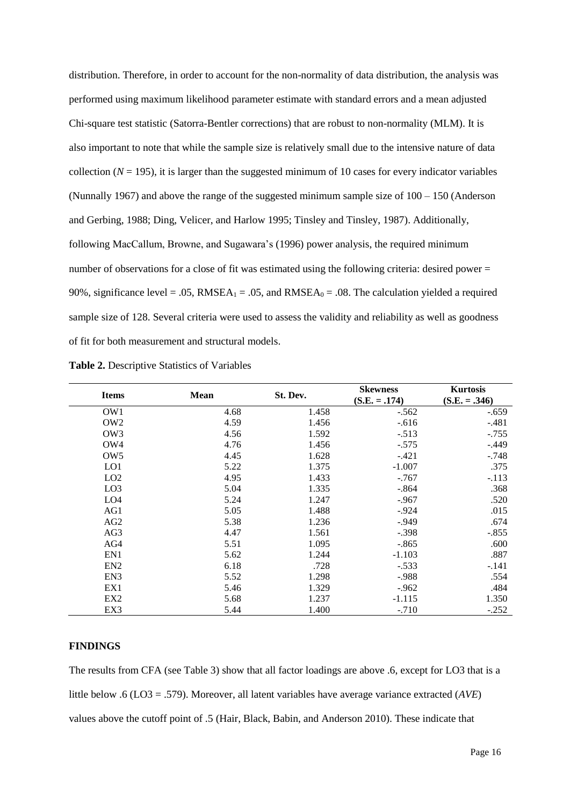distribution. Therefore, in order to account for the non-normality of data distribution, the analysis was performed using maximum likelihood parameter estimate with standard errors and a mean adjusted Chi-square test statistic (Satorra-Bentler corrections) that are robust to non-normality (MLM). It is also important to note that while the sample size is relatively small due to the intensive nature of data collection  $(N = 195)$ , it is larger than the suggested minimum of 10 cases for every indicator variables (Nunnally 1967) and above the range of the suggested minimum sample size of  $100 - 150$  (Anderson and Gerbing, 1988; Ding, Velicer, and Harlow 1995; Tinsley and Tinsley, 1987). Additionally, following MacCallum, Browne, and Sugawara's (1996) power analysis, the required minimum number of observations for a close of fit was estimated using the following criteria: desired power = 90%, significance level = .05, RMSEA<sub>1</sub> = .05, and RMSEA<sub>0</sub> = .08. The calculation yielded a required sample size of 128. Several criteria were used to assess the validity and reliability as well as goodness of fit for both measurement and structural models.

| <b>Items</b>    | Mean | St. Dev. | <b>Skewness</b> | <b>Kurtosis</b> |
|-----------------|------|----------|-----------------|-----------------|
|                 |      |          | $(S.E. = .174)$ | $(S.E. = .346)$ |
| OW1             | 4.68 | 1.458    | $-.562$         | $-.659$         |
| OW <sub>2</sub> | 4.59 | 1.456    | $-.616$         | $-.481$         |
| OW <sub>3</sub> | 4.56 | 1.592    | $-.513$         | $-.755$         |
| OW4             | 4.76 | 1.456    | $-.575$         | $-.449$         |
| OW <sub>5</sub> | 4.45 | 1.628    | $-.421$         | $-.748$         |
| LO <sub>1</sub> | 5.22 | 1.375    | $-1.007$        | .375            |
| LO <sub>2</sub> | 4.95 | 1.433    | $-.767$         | $-.113$         |
| LO <sub>3</sub> | 5.04 | 1.335    | $-.864$         | .368            |
| LO <sub>4</sub> | 5.24 | 1.247    | $-.967$         | .520            |
| AG1             | 5.05 | 1.488    | $-924$          | .015            |
| AG <sub>2</sub> | 5.38 | 1.236    | $-0.949$        | .674            |
| AG <sub>3</sub> | 4.47 | 1.561    | $-.398$         | $-.855$         |
| AG4             | 5.51 | 1.095    | $-.865$         | .600            |
| EN1             | 5.62 | 1.244    | $-1.103$        | .887            |
| EN <sub>2</sub> | 6.18 | .728     | $-.533$         | $-.141$         |
| EN <sub>3</sub> | 5.52 | 1.298    | $-.988$         | .554            |
| EX1             | 5.46 | 1.329    | $-.962$         | .484            |
| EX <sub>2</sub> | 5.68 | 1.237    | $-1.115$        | 1.350           |
| EX3             | 5.44 | 1.400    | $-.710$         | $-.252$         |

**Table 2.** Descriptive Statistics of Variables

# **FINDINGS**

The results from CFA (see Table 3) show that all factor loadings are above .6, except for LO3 that is a little below .6 (LO3 = .579). Moreover, all latent variables have average variance extracted (*AVE*) values above the cutoff point of .5 (Hair, Black, Babin, and Anderson 2010). These indicate that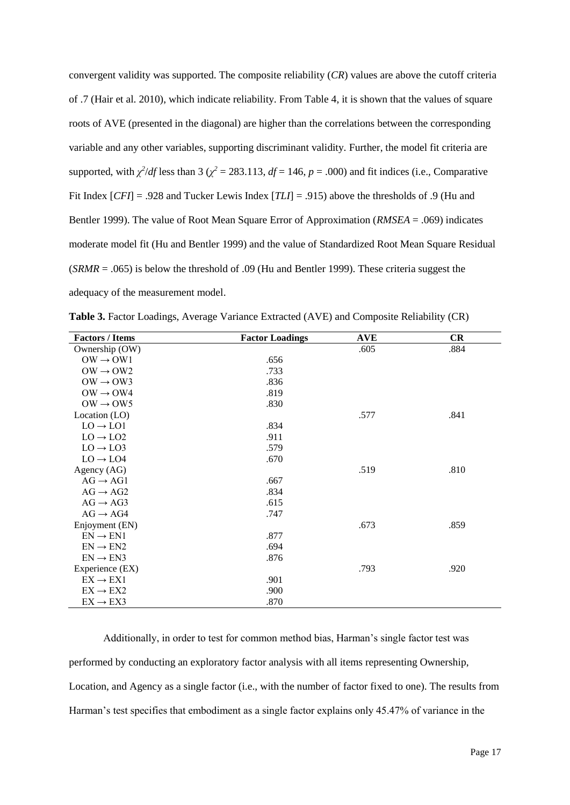convergent validity was supported. The composite reliability (*CR*) values are above the cutoff criteria of .7 (Hair et al. 2010), which indicate reliability. From Table 4, it is shown that the values of square roots of AVE (presented in the diagonal) are higher than the correlations between the corresponding variable and any other variables, supporting discriminant validity. Further, the model fit criteria are supported, with  $\chi^2$ /*df* less than 3 ( $\chi^2$  = 283.113, *df* = 146, *p* = .000) and fit indices (i.e., Comparative Fit Index [*CFI*] = .928 and Tucker Lewis Index [*TLI*] = .915) above the thresholds of .9 (Hu and Bentler 1999). The value of Root Mean Square Error of Approximation (*RMSEA* = .069) indicates moderate model fit (Hu and Bentler 1999) and the value of Standardized Root Mean Square Residual (*SRMR* = .065) is below the threshold of .09 (Hu and Bentler 1999). These criteria suggest the adequacy of the measurement model.

| <b>Factors / Items</b> | <b>Factor Loadings</b> | <b>AVE</b> | CR   |
|------------------------|------------------------|------------|------|
| Ownership (OW)         |                        | .605       | .884 |
| $OW \rightarrow O W1$  | .656                   |            |      |
| $OW \rightarrow O W2$  | .733                   |            |      |
| $OW \rightarrow OW3$   | .836                   |            |      |
| $OW \rightarrow OW4$   | .819                   |            |      |
| $OW \rightarrow O W5$  | .830                   |            |      |
| Location (LO)          |                        | .577       | .841 |
| $LO \rightarrow LO1$   | .834                   |            |      |
| $LO \rightarrow LO2$   | .911                   |            |      |
| $LO \rightarrow LO3$   | .579                   |            |      |
| $LO \rightarrow LO4$   | .670                   |            |      |
| Agency (AG)            |                        | .519       | .810 |
| $AG \rightarrow AG1$   | .667                   |            |      |
| $AG \rightarrow AG2$   | .834                   |            |      |
| $AG \rightarrow AG3$   | .615                   |            |      |
| $AG \rightarrow AG4$   | .747                   |            |      |
| Enjoyment (EN)         |                        | .673       | .859 |
| $EN \rightarrow EN1$   | .877                   |            |      |
| $EN \rightarrow EN2$   | .694                   |            |      |
| $EN \rightarrow EN3$   | .876                   |            |      |
| Experience (EX)        |                        | .793       | .920 |
| $EX \rightarrow EX1$   | .901                   |            |      |
| $EX \rightarrow EX2$   | .900                   |            |      |
| $EX \rightarrow EX3$   | .870                   |            |      |

**Table 3.** Factor Loadings, Average Variance Extracted (AVE) and Composite Reliability (CR)

Additionally, in order to test for common method bias, Harman's single factor test was performed by conducting an exploratory factor analysis with all items representing Ownership, Location, and Agency as a single factor (i.e., with the number of factor fixed to one). The results from Harman's test specifies that embodiment as a single factor explains only 45.47% of variance in the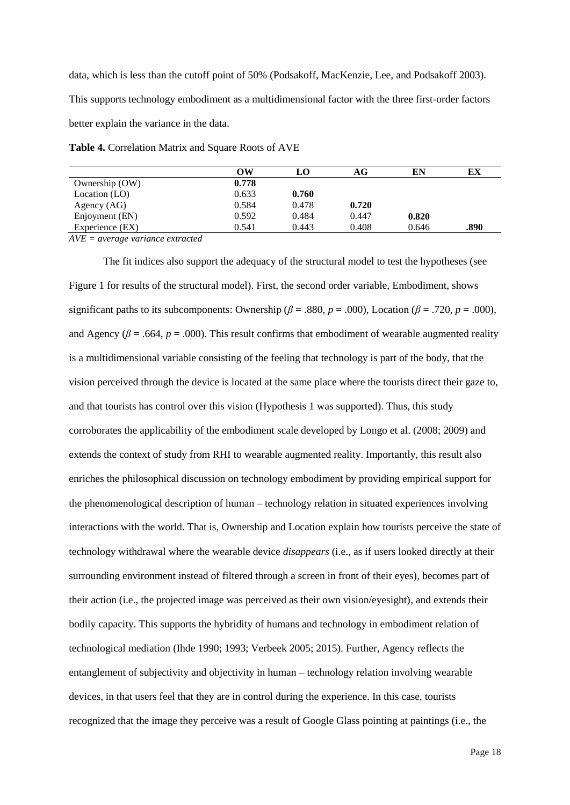data, which is less than the cutoff point of 50% (Podsakoff, MacKenzie, Lee, and Podsakoff 2003). This supports technology embodiment as a multidimensional factor with the three first-order factors better explain the variance in the data.

**Table 4.** Correlation Matrix and Square Roots of AVE

|                 | ОW    | LO    | AG    | EN    | ЕX   |
|-----------------|-------|-------|-------|-------|------|
| Ownership (OW)  | 0.778 |       |       |       |      |
| Location $(LO)$ | 0.633 | 0.760 |       |       |      |
| Agency $(AG)$   | 0.584 | 0.478 | 0.720 |       |      |
| Enjoyment (EN)  | 0.592 | 0.484 | 0.447 | 0.820 |      |
| Experience (EX) | 0.541 | 0.443 | 0.408 | 0.646 | .890 |

*AVE = average variance extracted*

The fit indices also support the adequacy of the structural model to test the hypotheses (see Figure 1 for results of the structural model). First, the second order variable, Embodiment, shows significant paths to its subcomponents: Ownership ( $\beta$  = .880,  $p$  = .000), Location ( $\beta$  = .720,  $p$  = .000), and Agency ( $\beta$  = .664,  $p$  = .000). This result confirms that embodiment of wearable augmented reality is a multidimensional variable consisting of the feeling that technology is part of the body, that the vision perceived through the device is located at the same place where the tourists direct their gaze to, and that tourists has control over this vision (Hypothesis 1 was supported). Thus, this study corroborates the applicability of the embodiment scale developed by Longo et al. (2008; 2009) and extends the context of study from RHI to wearable augmented reality. Importantly, this result also enriches the philosophical discussion on technology embodiment by providing empirical support for the phenomenological description of human – technology relation in situated experiences involving interactions with the world. That is, Ownership and Location explain how tourists perceive the state of technology withdrawal where the wearable device *disappears* (i.e., as if users looked directly at their surrounding environment instead of filtered through a screen in front of their eyes), becomes part of their action (i.e., the projected image was perceived as their own vision/eyesight), and extends their bodily capacity. This supports the hybridity of humans and technology in embodiment relation of technological mediation (Ihde 1990; 1993; Verbeek 2005; 2015). Further, Agency reflects the entanglement of subjectivity and objectivity in human – technology relation involving wearable devices, in that users feel that they are in control during the experience. In this case, tourists recognized that the image they perceive was a result of Google Glass pointing at paintings (i.e., the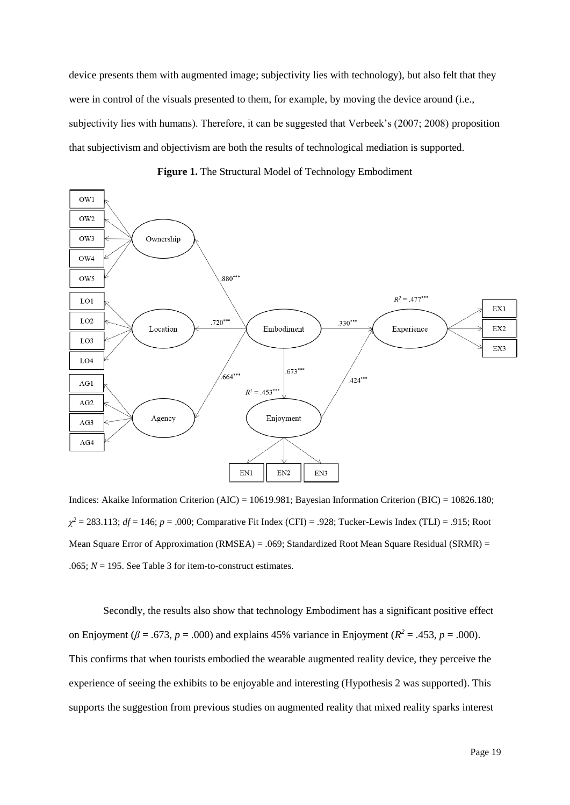device presents them with augmented image; subjectivity lies with technology), but also felt that they were in control of the visuals presented to them, for example, by moving the device around (i.e., subjectivity lies with humans). Therefore, it can be suggested that Verbeek's (2007; 2008) proposition that subjectivism and objectivism are both the results of technological mediation is supported.





Indices: Akaike Information Criterion (AIC) = 10619.981; Bayesian Information Criterion (BIC) = 10826.180; *χ <sup>2</sup>* = 283.113; *df* = 146; *p* = .000; Comparative Fit Index (CFI) = .928; Tucker-Lewis Index (TLI) = .915; Root Mean Square Error of Approximation (RMSEA) = .069; Standardized Root Mean Square Residual (SRMR) = .065;  $N = 195$ . See Table 3 for item-to-construct estimates.

Secondly, the results also show that technology Embodiment has a significant positive effect on Enjoyment ( $\beta$  = .673,  $p$  = .000) and explains 45% variance in Enjoyment ( $R^2$  = .453,  $p$  = .000). This confirms that when tourists embodied the wearable augmented reality device, they perceive the experience of seeing the exhibits to be enjoyable and interesting (Hypothesis 2 was supported). This supports the suggestion from previous studies on augmented reality that mixed reality sparks interest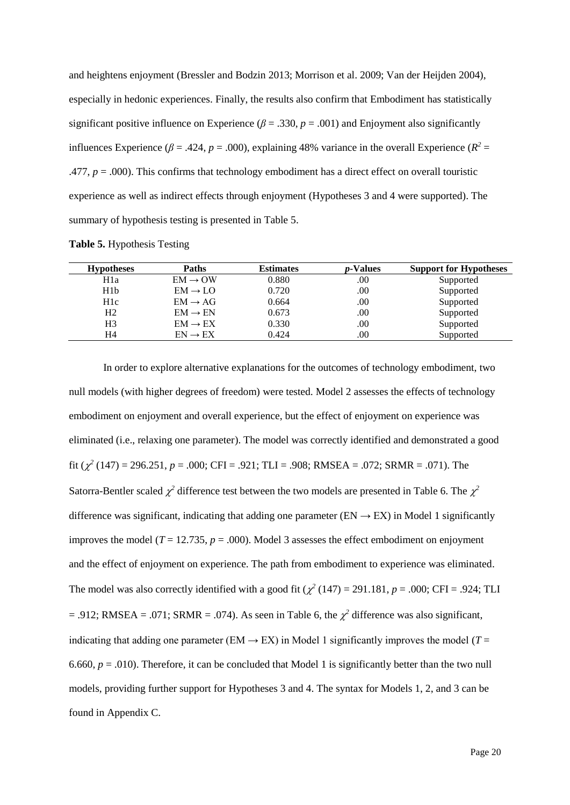and heightens enjoyment (Bressler and Bodzin 2013; Morrison et al. 2009; Van der Heijden 2004), especially in hedonic experiences. Finally, the results also confirm that Embodiment has statistically significant positive influence on Experience (*β* = .330, *p* = .001) and Enjoyment also significantly influences Experience ( $\beta$  = .424,  $p$  = .000), explaining 48% variance in the overall Experience ( $R^2$  = .477,  $p = .000$ ). This confirms that technology embodiment has a direct effect on overall touristic experience as well as indirect effects through enjoyment (Hypotheses 3 and 4 were supported). The summary of hypothesis testing is presented in Table 5.

|  | Table 5. Hypothesis Testing |  |
|--|-----------------------------|--|
|--|-----------------------------|--|

| <b>Hypotheses</b> | Paths               | <b>Estimates</b> | <i>p</i> -Values | <b>Support for Hypotheses</b> |
|-------------------|---------------------|------------------|------------------|-------------------------------|
| H <sub>1</sub> a  | $EM \rightarrow OW$ | 0.880            | .00              | Supported                     |
| H1b               | $EM \rightarrow LO$ | 0.720            | .00              | Supported                     |
| H <sub>1</sub> c  | $EM \rightarrow AG$ | 0.664            | .00              | Supported                     |
| H <sub>2</sub>    | $EM \rightarrow EN$ | 0.673            | .00              | Supported                     |
| H <sub>3</sub>    | $EM \rightarrow EX$ | 0.330            | .00              | Supported                     |
| H4                | $EN \rightarrow EX$ | 0.424            | .00              | Supported                     |

In order to explore alternative explanations for the outcomes of technology embodiment, two null models (with higher degrees of freedom) were tested. Model 2 assesses the effects of technology embodiment on enjoyment and overall experience, but the effect of enjoyment on experience was eliminated (i.e., relaxing one parameter). The model was correctly identified and demonstrated a good fit  $\chi^2$  (147) = 296.251, *p* = .000; CFI = .921; TLI = .908; RMSEA = .072; SRMR = .071). The Satorra-Bentler scaled  $\chi^2$  difference test between the two models are presented in Table 6. The  $\chi^2$ difference was significant, indicating that adding one parameter ( $EN \rightarrow EX$ ) in Model 1 significantly improves the model ( $T = 12.735$ ,  $p = .000$ ). Model 3 assesses the effect embodiment on enjoyment and the effect of enjoyment on experience. The path from embodiment to experience was eliminated. The model was also correctly identified with a good fit  $(\chi^2(147) = 291.181, p = .000; CFI = .924; TLI$  $= .912$ ; RMSEA = .071; SRMR = .074). As seen in Table 6, the  $\chi^2$  difference was also significant, indicating that adding one parameter ( $EM \rightarrow EX$ ) in Model 1 significantly improves the model ( $T =$ 6.660,  $p = .010$ ). Therefore, it can be concluded that Model 1 is significantly better than the two null models, providing further support for Hypotheses 3 and 4. The syntax for Models 1, 2, and 3 can be found in Appendix C.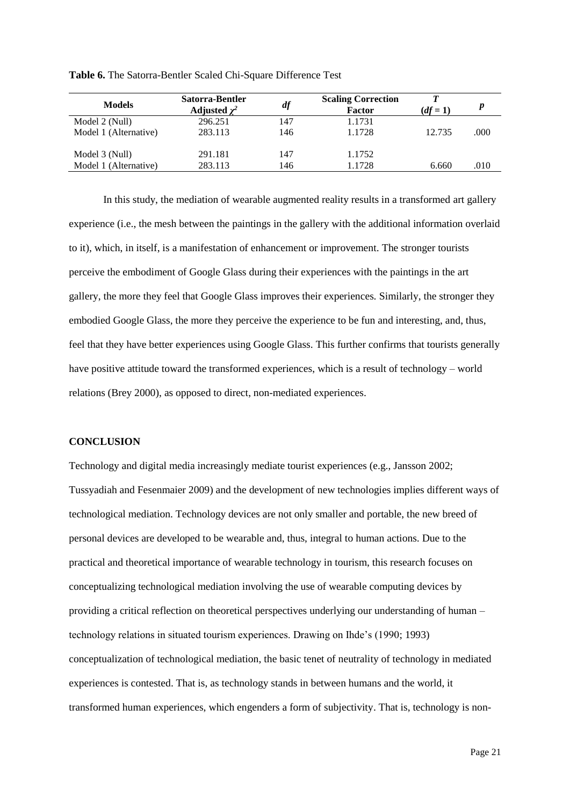| <b>Models</b>         | Satorra-Bentler<br>Adjusted $\chi^2$ | df  | <b>Scaling Correction</b><br>Factor | T<br>$(df=1)$ |      |
|-----------------------|--------------------------------------|-----|-------------------------------------|---------------|------|
| Model 2 (Null)        | 296.251                              | 147 | 1.1731                              |               |      |
| Model 1 (Alternative) | 283.113                              | 146 | 1.1728                              | 12.735        | .000 |
| Model 3 (Null)        | 291.181                              | 147 | 1.1752                              |               |      |
| Model 1 (Alternative) | 283.113                              | 146 | 1.1728                              | 6.660         | .010 |

**Table 6.** The Satorra-Bentler Scaled Chi-Square Difference Test

In this study, the mediation of wearable augmented reality results in a transformed art gallery experience (i.e., the mesh between the paintings in the gallery with the additional information overlaid to it), which, in itself, is a manifestation of enhancement or improvement. The stronger tourists perceive the embodiment of Google Glass during their experiences with the paintings in the art gallery, the more they feel that Google Glass improves their experiences. Similarly, the stronger they embodied Google Glass, the more they perceive the experience to be fun and interesting, and, thus, feel that they have better experiences using Google Glass. This further confirms that tourists generally have positive attitude toward the transformed experiences, which is a result of technology – world relations (Brey 2000), as opposed to direct, non-mediated experiences.

# **CONCLUSION**

Technology and digital media increasingly mediate tourist experiences (e.g., Jansson 2002; Tussyadiah and Fesenmaier 2009) and the development of new technologies implies different ways of technological mediation. Technology devices are not only smaller and portable, the new breed of personal devices are developed to be wearable and, thus, integral to human actions. Due to the practical and theoretical importance of wearable technology in tourism, this research focuses on conceptualizing technological mediation involving the use of wearable computing devices by providing a critical reflection on theoretical perspectives underlying our understanding of human – technology relations in situated tourism experiences. Drawing on Ihde's (1990; 1993) conceptualization of technological mediation, the basic tenet of neutrality of technology in mediated experiences is contested. That is, as technology stands in between humans and the world, it transformed human experiences, which engenders a form of subjectivity. That is, technology is non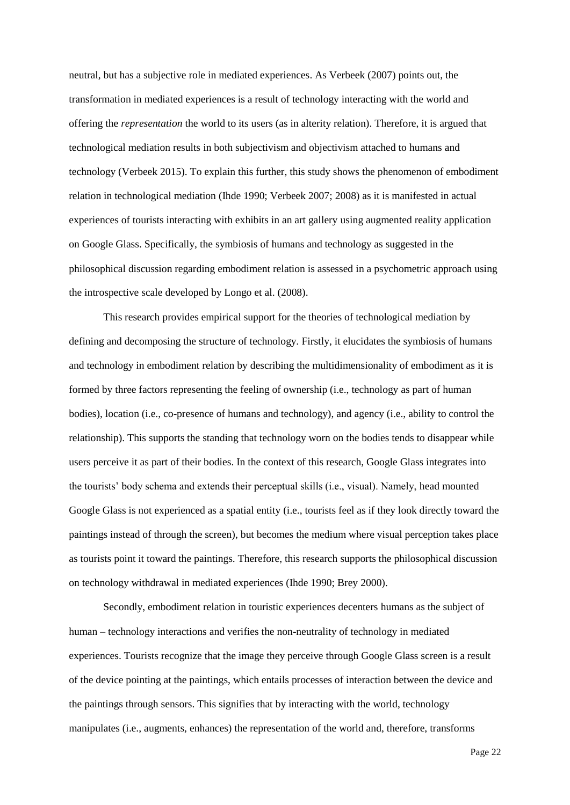neutral, but has a subjective role in mediated experiences. As Verbeek (2007) points out, the transformation in mediated experiences is a result of technology interacting with the world and offering the *representation* the world to its users (as in alterity relation). Therefore, it is argued that technological mediation results in both subjectivism and objectivism attached to humans and technology (Verbeek 2015). To explain this further, this study shows the phenomenon of embodiment relation in technological mediation (Ihde 1990; Verbeek 2007; 2008) as it is manifested in actual experiences of tourists interacting with exhibits in an art gallery using augmented reality application on Google Glass. Specifically, the symbiosis of humans and technology as suggested in the philosophical discussion regarding embodiment relation is assessed in a psychometric approach using the introspective scale developed by Longo et al. (2008).

This research provides empirical support for the theories of technological mediation by defining and decomposing the structure of technology. Firstly, it elucidates the symbiosis of humans and technology in embodiment relation by describing the multidimensionality of embodiment as it is formed by three factors representing the feeling of ownership (i.e., technology as part of human bodies), location (i.e., co-presence of humans and technology), and agency (i.e., ability to control the relationship). This supports the standing that technology worn on the bodies tends to disappear while users perceive it as part of their bodies. In the context of this research, Google Glass integrates into the tourists' body schema and extends their perceptual skills (i.e., visual). Namely, head mounted Google Glass is not experienced as a spatial entity (i.e., tourists feel as if they look directly toward the paintings instead of through the screen), but becomes the medium where visual perception takes place as tourists point it toward the paintings. Therefore, this research supports the philosophical discussion on technology withdrawal in mediated experiences (Ihde 1990; Brey 2000).

Secondly, embodiment relation in touristic experiences decenters humans as the subject of human – technology interactions and verifies the non-neutrality of technology in mediated experiences. Tourists recognize that the image they perceive through Google Glass screen is a result of the device pointing at the paintings, which entails processes of interaction between the device and the paintings through sensors. This signifies that by interacting with the world, technology manipulates (i.e., augments, enhances) the representation of the world and, therefore, transforms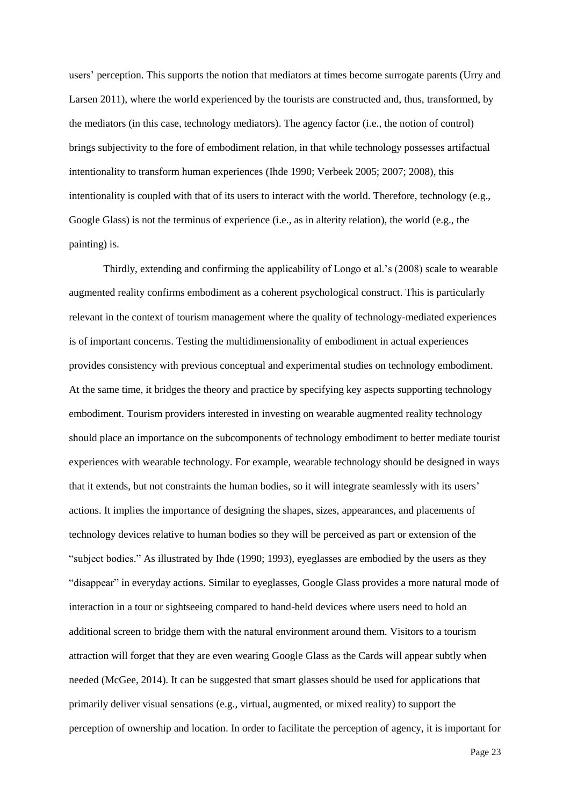users' perception. This supports the notion that mediators at times become surrogate parents (Urry and Larsen 2011), where the world experienced by the tourists are constructed and, thus, transformed, by the mediators (in this case, technology mediators). The agency factor (i.e., the notion of control) brings subjectivity to the fore of embodiment relation, in that while technology possesses artifactual intentionality to transform human experiences (Ihde 1990; Verbeek 2005; 2007; 2008), this intentionality is coupled with that of its users to interact with the world. Therefore, technology (e.g., Google Glass) is not the terminus of experience (i.e., as in alterity relation), the world (e.g., the painting) is.

Thirdly, extending and confirming the applicability of Longo et al.'s (2008) scale to wearable augmented reality confirms embodiment as a coherent psychological construct. This is particularly relevant in the context of tourism management where the quality of technology-mediated experiences is of important concerns. Testing the multidimensionality of embodiment in actual experiences provides consistency with previous conceptual and experimental studies on technology embodiment. At the same time, it bridges the theory and practice by specifying key aspects supporting technology embodiment. Tourism providers interested in investing on wearable augmented reality technology should place an importance on the subcomponents of technology embodiment to better mediate tourist experiences with wearable technology. For example, wearable technology should be designed in ways that it extends, but not constraints the human bodies, so it will integrate seamlessly with its users' actions. It implies the importance of designing the shapes, sizes, appearances, and placements of technology devices relative to human bodies so they will be perceived as part or extension of the "subject bodies." As illustrated by Ihde (1990; 1993), eyeglasses are embodied by the users as they "disappear" in everyday actions. Similar to eyeglasses, Google Glass provides a more natural mode of interaction in a tour or sightseeing compared to hand-held devices where users need to hold an additional screen to bridge them with the natural environment around them. Visitors to a tourism attraction will forget that they are even wearing Google Glass as the Cards will appear subtly when needed (McGee, 2014). It can be suggested that smart glasses should be used for applications that primarily deliver visual sensations (e.g., virtual, augmented, or mixed reality) to support the perception of ownership and location. In order to facilitate the perception of agency, it is important for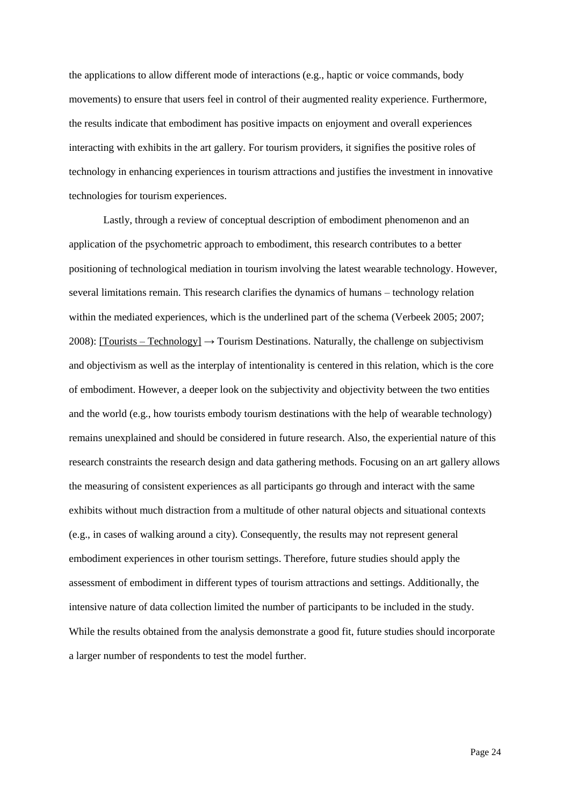the applications to allow different mode of interactions (e.g., haptic or voice commands, body movements) to ensure that users feel in control of their augmented reality experience. Furthermore, the results indicate that embodiment has positive impacts on enjoyment and overall experiences interacting with exhibits in the art gallery. For tourism providers, it signifies the positive roles of technology in enhancing experiences in tourism attractions and justifies the investment in innovative technologies for tourism experiences.

Lastly, through a review of conceptual description of embodiment phenomenon and an application of the psychometric approach to embodiment, this research contributes to a better positioning of technological mediation in tourism involving the latest wearable technology. However, several limitations remain. This research clarifies the dynamics of humans – technology relation within the mediated experiences, which is the underlined part of the schema (Verbeek 2005; 2007; 2008): [Tourists – Technology]  $\rightarrow$  Tourism Destinations. Naturally, the challenge on subjectivism and objectivism as well as the interplay of intentionality is centered in this relation, which is the core of embodiment. However, a deeper look on the subjectivity and objectivity between the two entities and the world (e.g., how tourists embody tourism destinations with the help of wearable technology) remains unexplained and should be considered in future research. Also, the experiential nature of this research constraints the research design and data gathering methods. Focusing on an art gallery allows the measuring of consistent experiences as all participants go through and interact with the same exhibits without much distraction from a multitude of other natural objects and situational contexts (e.g., in cases of walking around a city). Consequently, the results may not represent general embodiment experiences in other tourism settings. Therefore, future studies should apply the assessment of embodiment in different types of tourism attractions and settings. Additionally, the intensive nature of data collection limited the number of participants to be included in the study. While the results obtained from the analysis demonstrate a good fit, future studies should incorporate a larger number of respondents to test the model further.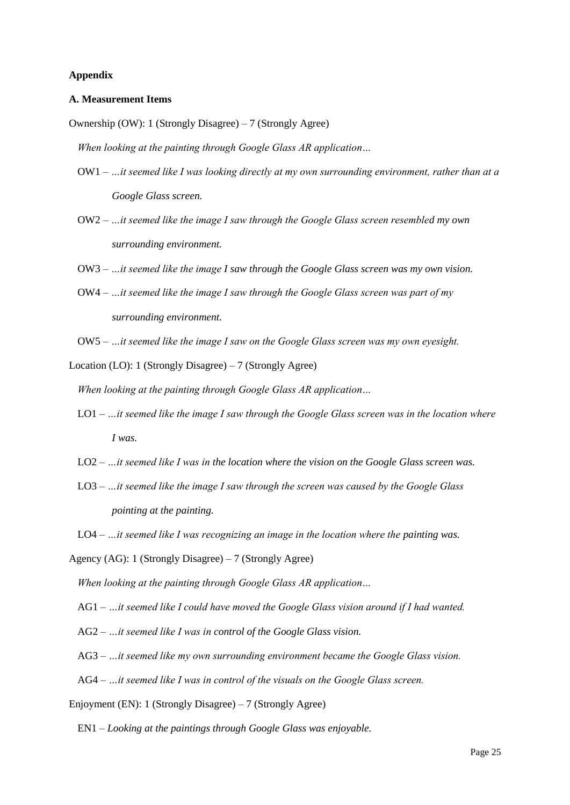## **Appendix**

# **A. Measurement Items**

Ownership (OW): 1 (Strongly Disagree) – 7 (Strongly Agree)

*When looking at the painting through Google Glass AR application…*

- OW1 *…it seemed like I was looking directly at my own surrounding environment, rather than at a Google Glass screen.*
- OW2 *…it seemed like the image I saw through the Google Glass screen resembled my own surrounding environment.*
- OW3 *…it seemed like the image I saw through the Google Glass screen was my own vision.*
- OW4 *…it seemed like the image I saw through the Google Glass screen was part of my surrounding environment.*
- OW5 *…it seemed like the image I saw on the Google Glass screen was my own eyesight.*

Location (LO): 1 (Strongly Disagree) – 7 (Strongly Agree)

*When looking at the painting through Google Glass AR application…*

- LO1 *…it seemed like the image I saw through the Google Glass screen was in the location where I was.*
- LO2 *…it seemed like I was in the location where the vision on the Google Glass screen was.*
- LO3 *…it seemed like the image I saw through the screen was caused by the Google Glass pointing at the painting.*
- LO4 *…it seemed like I was recognizing an image in the location where the painting was.*
- Agency (AG): 1 (Strongly Disagree) 7 (Strongly Agree)

*When looking at the painting through Google Glass AR application…*

AG1 – *…it seemed like I could have moved the Google Glass vision around if I had wanted.*

- AG2 *…it seemed like I was in control of the Google Glass vision.*
- AG3 *…it seemed like my own surrounding environment became the Google Glass vision.*
- AG4 *…it seemed like I was in control of the visuals on the Google Glass screen.*
- Enjoyment (EN): 1 (Strongly Disagree) 7 (Strongly Agree)
	- EN1 *Looking at the paintings through Google Glass was enjoyable.*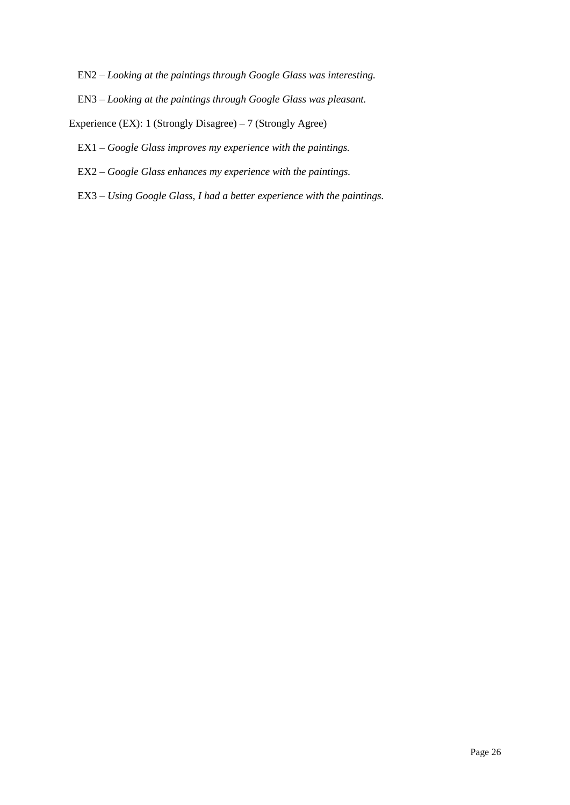- EN2 *Looking at the paintings through Google Glass was interesting.*
- EN3 *Looking at the paintings through Google Glass was pleasant.*
- Experience (EX): 1 (Strongly Disagree) 7 (Strongly Agree)
	- EX1 *Google Glass improves my experience with the paintings.*
	- EX2 *Google Glass enhances my experience with the paintings.*
	- EX3 *Using Google Glass, I had a better experience with the paintings.*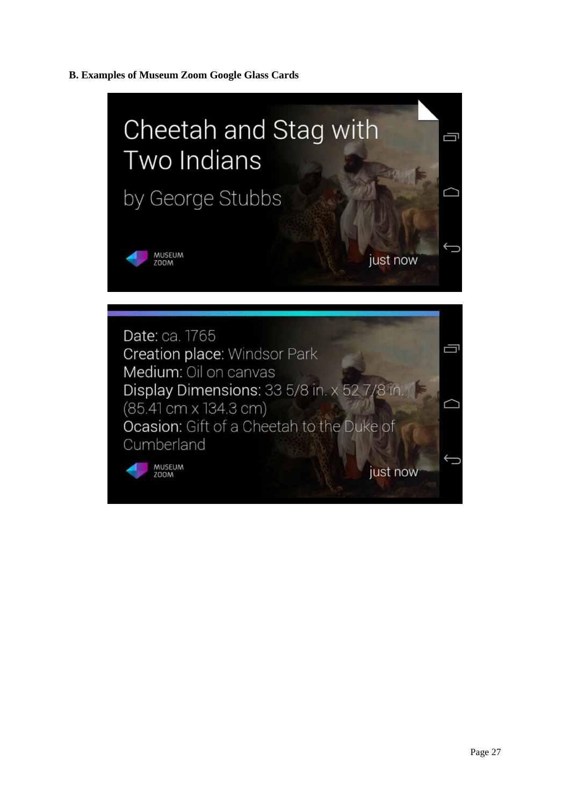**B. Examples of Museum Zoom Google Glass Cards**

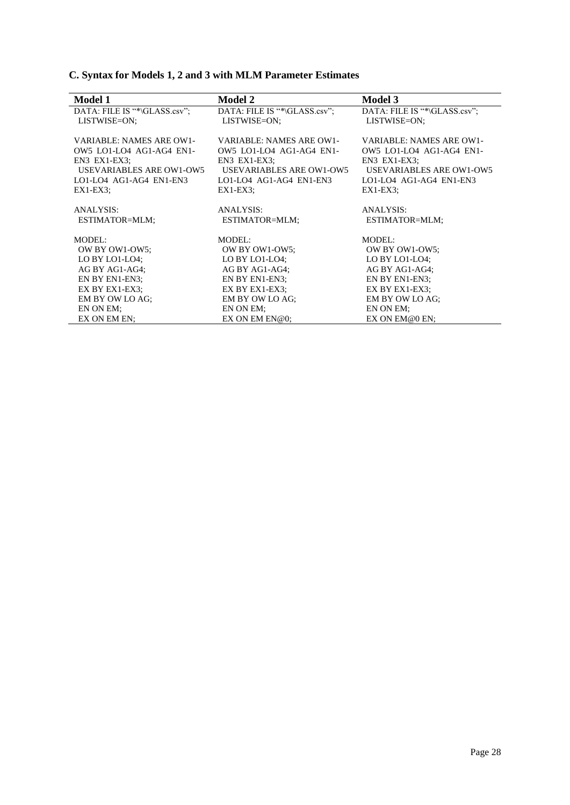|  |  |  |  | C. Syntax for Models 1, 2 and 3 with MLM Parameter Estimates |  |
|--|--|--|--|--------------------------------------------------------------|--|
|  |  |  |  |                                                              |  |

| Model 1                         | Model 2                      | <b>Model 3</b>                  |
|---------------------------------|------------------------------|---------------------------------|
| DATA: FILE IS "*\GLASS.csv";    | DATA: FILE IS "*\GLASS.csv"; | DATA: FILE IS "*\GLASS.csv";    |
| LISTWISE=ON;                    | LISTWISE=ON:                 | LISTWISE=ON;                    |
| <b>VARIABLE: NAMES ARE OW1-</b> | VARIABLE: NAMES ARE OW1-     | VARIABLE: NAMES ARE OW1-        |
| OW5 LO1-LO4 AG1-AG4 EN1-        | OW5 LO1-LO4 AG1-AG4 EN1-     | OW5 LO1-LO4 AG1-AG4 EN1-        |
| EN3 EX1-EX3;                    | EN3 EX1-EX3;                 | EN3 EX1-EX3;                    |
| <b>USEVARIABLES ARE OW1-OW5</b> | USEVARIABLES ARE OW1-OW5     | <b>USEVARIABLES ARE OW1-OW5</b> |
| LO1-LO4 AG1-AG4 EN1-EN3         | LO1-LO4 AG1-AG4 EN1-EN3      | LO1-LO4 AG1-AG4 EN1-EN3         |
| $EX1$ -EX3;                     | $EX1$ -EX3:                  | $EX1$ -EX3:                     |
| <b>ANALYSIS:</b>                | <b>ANALYSIS:</b>             | <b>ANALYSIS:</b>                |
| ESTIMATOR=MLM;                  | ESTIMATOR=MLM;               | ESTIMATOR=MLM;                  |
| MODEL:                          | MODEL:                       | MODEL:                          |
| OW BY OW1-OW5:                  | OW BY OW1-OW5;               | OW BY OW1-OW5:                  |
| LO BY LO1-LO4;                  | LO BY LO1-LO4;               | LO BY LO1-LO4;                  |
| AG BY AG1-AG4;                  | AG BY AG1-AG4;               | AG BY AG1-AG4;                  |
| EN BY EN1-EN3;                  | EN BY EN1-EN3;               | EN BY EN1-EN3;                  |
| EX BY EX1-EX3;                  | EX BY EX1-EX3;               | EX BY EX1-EX3;                  |
| EM BY OW LO AG;                 | EM BY OW LO AG;              | EM BY OW LO AG:                 |
| EN ON EM:                       | EN ON EM:                    | EN ON EM;                       |
| EX ON EM EN:                    | EX ON EM $EN@0:$             | EX ON EM@0 EN:                  |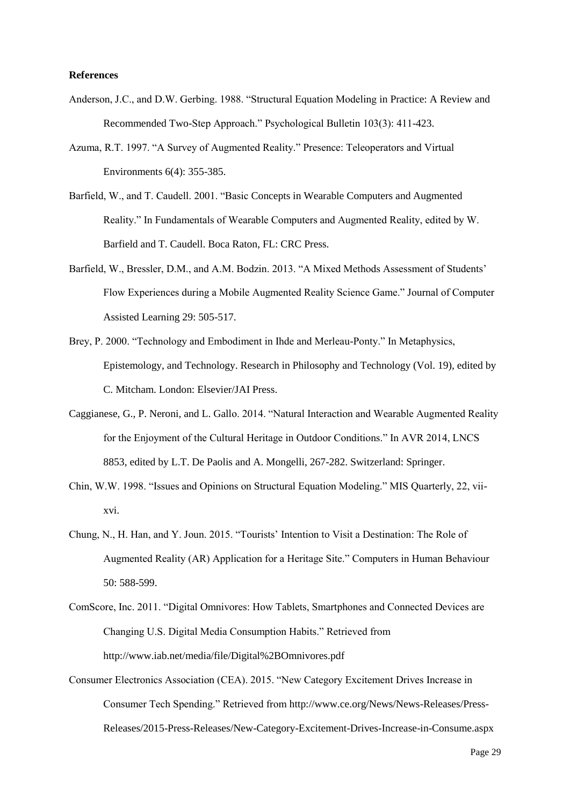### **References**

- Anderson, J.C., and D.W. Gerbing. 1988. "Structural Equation Modeling in Practice: A Review and Recommended Two-Step Approach." Psychological Bulletin 103(3): 411-423.
- Azuma, R.T. 1997. "A Survey of Augmented Reality." Presence: Teleoperators and Virtual Environments 6(4): 355-385.
- Barfield, W., and T. Caudell. 2001. "Basic Concepts in Wearable Computers and Augmented Reality." In Fundamentals of Wearable Computers and Augmented Reality, edited by W. Barfield and T. Caudell. Boca Raton, FL: CRC Press.
- Barfield, W., Bressler, D.M., and A.M. Bodzin. 2013. "A Mixed Methods Assessment of Students' Flow Experiences during a Mobile Augmented Reality Science Game." Journal of Computer Assisted Learning 29: 505-517.
- Brey, P. 2000. "Technology and Embodiment in Ihde and Merleau-Ponty." In Metaphysics, Epistemology, and Technology. Research in Philosophy and Technology (Vol. 19), edited by C. Mitcham. London: Elsevier/JAI Press.
- Caggianese, G., P. Neroni, and L. Gallo. 2014. "Natural Interaction and Wearable Augmented Reality for the Enjoyment of the Cultural Heritage in Outdoor Conditions." In AVR 2014, LNCS 8853, edited by L.T. De Paolis and A. Mongelli, 267-282. Switzerland: Springer.
- Chin, W.W. 1998. "Issues and Opinions on Structural Equation Modeling." MIS Quarterly, 22, viixvi.
- Chung, N., H. Han, and Y. Joun. 2015. "Tourists' Intention to Visit a Destination: The Role of Augmented Reality (AR) Application for a Heritage Site." Computers in Human Behaviour 50: 588-599.
- ComScore, Inc. 2011. "Digital Omnivores: How Tablets, Smartphones and Connected Devices are Changing U.S. Digital Media Consumption Habits." Retrieved from http://www.iab.net/media/file/Digital%2BOmnivores.pdf
- Consumer Electronics Association (CEA). 2015. "New Category Excitement Drives Increase in Consumer Tech Spending." Retrieved from http://www.ce.org/News/News-Releases/Press-Releases/2015-Press-Releases/New-Category-Excitement-Drives-Increase-in-Consume.aspx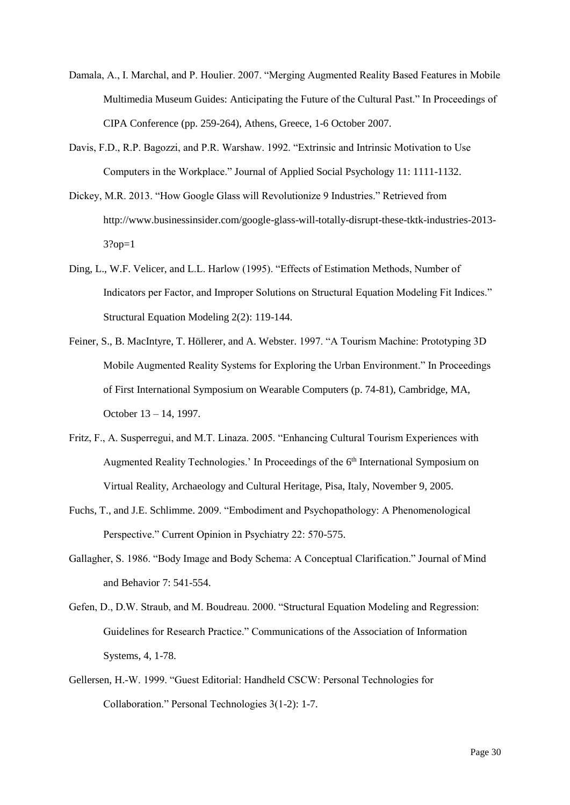- Damala, A., I. Marchal, and P. Houlier. 2007. "Merging Augmented Reality Based Features in Mobile Multimedia Museum Guides: Anticipating the Future of the Cultural Past." In Proceedings of CIPA Conference (pp. 259-264), Athens, Greece, 1-6 October 2007.
- Davis, F.D., R.P. Bagozzi, and P.R. Warshaw. 1992. "Extrinsic and Intrinsic Motivation to Use Computers in the Workplace." Journal of Applied Social Psychology 11: 1111-1132.
- Dickey, M.R. 2013. "How Google Glass will Revolutionize 9 Industries." Retrieved from http://www.businessinsider.com/google-glass-will-totally-disrupt-these-tktk-industries-2013- 3?op=1
- Ding, L., W.F. Velicer, and L.L. Harlow (1995). "Effects of Estimation Methods, Number of Indicators per Factor, and Improper Solutions on Structural Equation Modeling Fit Indices." Structural Equation Modeling 2(2): 119-144.
- Feiner, S., B. MacIntyre, T. Höllerer, and A. Webster. 1997. "A Tourism Machine: Prototyping 3D Mobile Augmented Reality Systems for Exploring the Urban Environment." In Proceedings of First International Symposium on Wearable Computers (p. 74-81), Cambridge, MA, October 13 – 14, 1997.
- Fritz, F., A. Susperregui, and M.T. Linaza. 2005. "Enhancing Cultural Tourism Experiences with Augmented Reality Technologies.' In Proceedings of the 6<sup>th</sup> International Symposium on Virtual Reality, Archaeology and Cultural Heritage, Pisa, Italy, November 9, 2005.
- Fuchs, T., and J.E. Schlimme. 2009. "Embodiment and Psychopathology: A Phenomenological Perspective." Current Opinion in Psychiatry 22: 570-575.
- Gallagher, S. 1986. "Body Image and Body Schema: A Conceptual Clarification." Journal of Mind and Behavior 7: 541-554.
- Gefen, D., D.W. Straub, and M. Boudreau. 2000. "Structural Equation Modeling and Regression: Guidelines for Research Practice." Communications of the Association of Information Systems, 4, 1-78.
- Gellersen, H.-W. 1999. "Guest Editorial: Handheld CSCW: Personal Technologies for Collaboration." Personal Technologies 3(1-2): 1-7.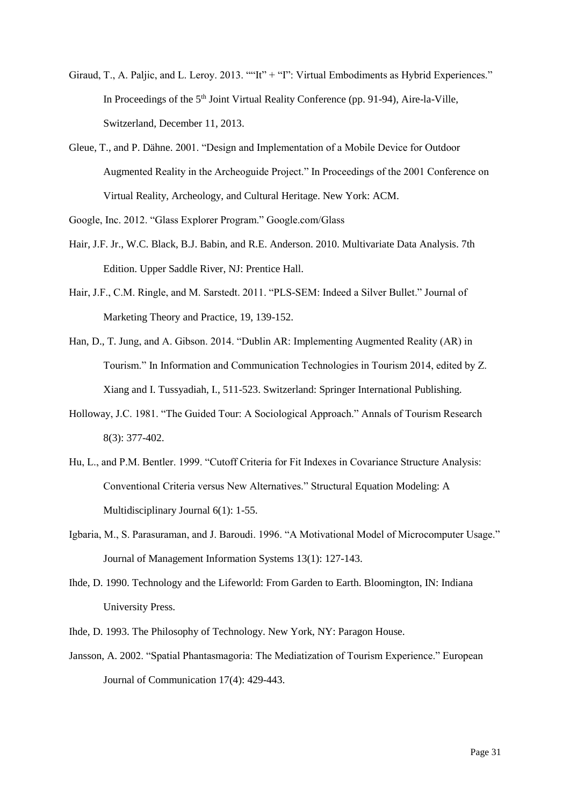- Giraud, T., A. Paljic, and L. Leroy. 2013. ""It" + "I": Virtual Embodiments as Hybrid Experiences." In Proceedings of the 5<sup>th</sup> Joint Virtual Reality Conference (pp. 91-94), Aire-la-Ville, Switzerland, December 11, 2013.
- Gleue, T., and P. Dähne. 2001. "Design and Implementation of a Mobile Device for Outdoor Augmented Reality in the Archeoguide Project." In Proceedings of the 2001 Conference on Virtual Reality, Archeology, and Cultural Heritage. New York: ACM.

Google, Inc. 2012. "Glass Explorer Program." Google.com/Glass

- Hair, J.F. Jr., W.C. Black, B.J. Babin, and R.E. Anderson. 2010. Multivariate Data Analysis. 7th Edition. Upper Saddle River, NJ: Prentice Hall.
- Hair, J.F., C.M. Ringle, and M. Sarstedt. 2011. "PLS-SEM: Indeed a Silver Bullet." Journal of Marketing Theory and Practice, 19, 139-152.
- Han, D., T. Jung, and A. Gibson. 2014. "Dublin AR: Implementing Augmented Reality (AR) in Tourism." In Information and Communication Technologies in Tourism 2014, edited by Z. Xiang and I. Tussyadiah, I., 511-523. Switzerland: Springer International Publishing.
- Holloway, J.C. 1981. "The Guided Tour: A Sociological Approach." Annals of Tourism Research 8(3): 377-402.
- Hu, L., and P.M. Bentler. 1999. "Cutoff Criteria for Fit Indexes in Covariance Structure Analysis: Conventional Criteria versus New Alternatives." Structural Equation Modeling: A Multidisciplinary Journal 6(1): 1-55.
- Igbaria, M., S. Parasuraman, and J. Baroudi. 1996. "A Motivational Model of Microcomputer Usage." Journal of Management Information Systems 13(1): 127-143.
- Ihde, D. 1990. Technology and the Lifeworld: From Garden to Earth. Bloomington, IN: Indiana University Press.
- Ihde, D. 1993. The Philosophy of Technology. New York, NY: Paragon House.
- Jansson, A. 2002. "Spatial Phantasmagoria: The Mediatization of Tourism Experience." European Journal of Communication 17(4): 429-443.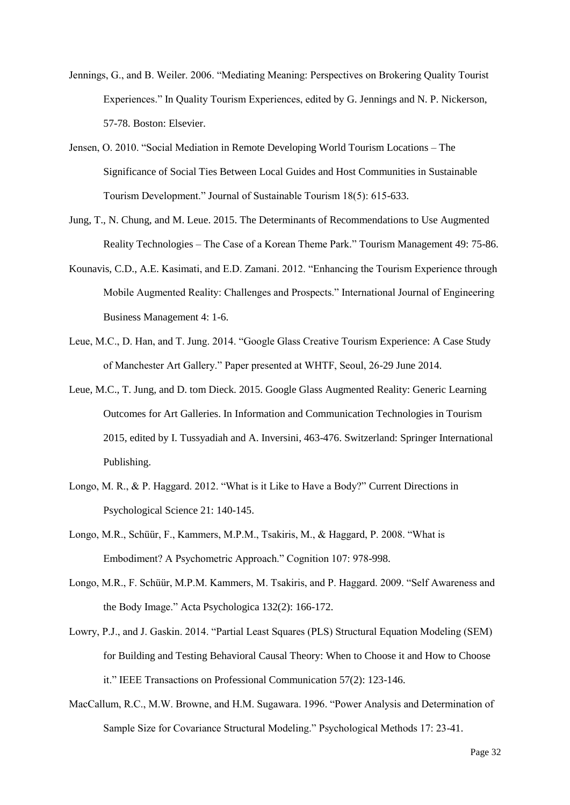- Jennings, G., and B. Weiler. 2006. "Mediating Meaning: Perspectives on Brokering Quality Tourist Experiences." In Quality Tourism Experiences, edited by G. Jennings and N. P. Nickerson, 57-78. Boston: Elsevier.
- Jensen, O. 2010. "Social Mediation in Remote Developing World Tourism Locations The Significance of Social Ties Between Local Guides and Host Communities in Sustainable Tourism Development." Journal of Sustainable Tourism 18(5): 615-633.
- Jung, T., N. Chung, and M. Leue. 2015. The Determinants of Recommendations to Use Augmented Reality Technologies – The Case of a Korean Theme Park." Tourism Management 49: 75-86.
- Kounavis, C.D., A.E. Kasimati, and E.D. Zamani. 2012. "Enhancing the Tourism Experience through Mobile Augmented Reality: Challenges and Prospects." International Journal of Engineering Business Management 4: 1-6.
- Leue, M.C., D. Han, and T. Jung. 2014. "Google Glass Creative Tourism Experience: A Case Study of Manchester Art Gallery." Paper presented at WHTF, Seoul, 26-29 June 2014.
- Leue, M.C., T. Jung, and D. tom Dieck. 2015. Google Glass Augmented Reality: Generic Learning Outcomes for Art Galleries. In Information and Communication Technologies in Tourism 2015, edited by I. Tussyadiah and A. Inversini, 463-476. Switzerland: Springer International Publishing.
- Longo, M. R., & P. Haggard. 2012. "What is it Like to Have a Body?" Current Directions in Psychological Science 21: 140-145.
- Longo, M.R., Schüür, F., Kammers, M.P.M., Tsakiris, M., & Haggard, P. 2008. "What is Embodiment? A Psychometric Approach." Cognition 107: 978-998.
- Longo, M.R., F. Schüür, M.P.M. Kammers, M. Tsakiris, and P. Haggard. 2009. "Self Awareness and the Body Image." Acta Psychologica 132(2): 166-172.
- Lowry, P.J., and J. Gaskin. 2014. "Partial Least Squares (PLS) Structural Equation Modeling (SEM) for Building and Testing Behavioral Causal Theory: When to Choose it and How to Choose it." IEEE Transactions on Professional Communication 57(2): 123-146.
- MacCallum, R.C., M.W. Browne, and H.M. Sugawara. 1996. "Power Analysis and Determination of Sample Size for Covariance Structural Modeling." Psychological Methods 17: 23-41.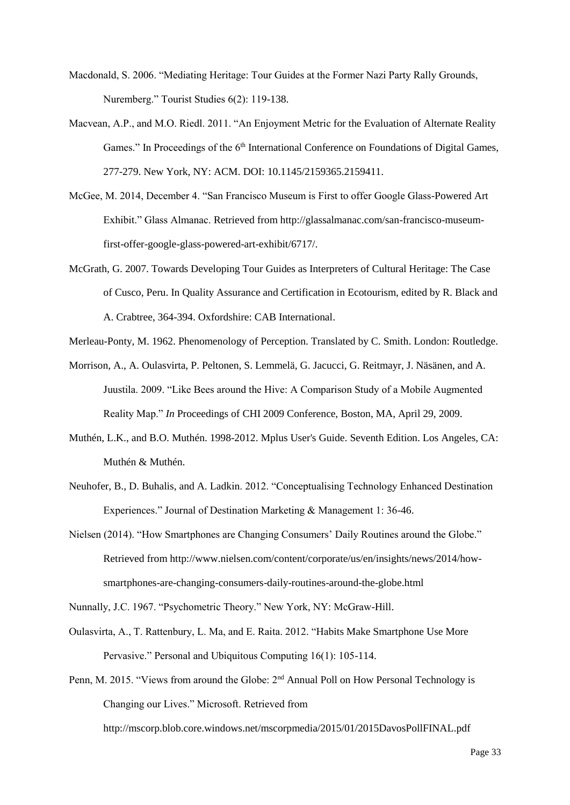- Macdonald, S. 2006. "Mediating Heritage: Tour Guides at the Former Nazi Party Rally Grounds, Nuremberg." Tourist Studies 6(2): 119-138.
- Macvean, A.P., and M.O. Riedl. 2011. "An Enjoyment Metric for the Evaluation of Alternate Reality Games." In Proceedings of the 6<sup>th</sup> International Conference on Foundations of Digital Games, 277-279. New York, NY: ACM. DOI: [10.1145/2159365.2159411.](https://doi.org/10.1145/2159365.2159411)
- McGee, M. 2014, December 4. "San Francisco Museum is First to offer Google Glass-Powered Art Exhibit." Glass Almanac. Retrieved from http://glassalmanac.com/san-francisco-museumfirst-offer-google-glass-powered-art-exhibit/6717/.
- McGrath, G. 2007. Towards Developing Tour Guides as Interpreters of Cultural Heritage: The Case of Cusco, Peru. In Quality Assurance and Certification in Ecotourism, edited by R. Black and A. Crabtree, 364-394. Oxfordshire: CAB International.
- Merleau-Ponty, M. 1962. Phenomenology of Perception. Translated by C. Smith. London: Routledge.
- Morrison, A., A. Oulasvirta, P. Peltonen, S. Lemmelä, G. Jacucci, G. Reitmayr, J. Näsänen, and A. Juustila. 2009. "Like Bees around the Hive: A Comparison Study of a Mobile Augmented Reality Map." *In* Proceedings of CHI 2009 Conference, Boston, MA, April 29, 2009.
- Muthén, L.K., and B.O. Muthén. 1998-2012. Mplus User's Guide. Seventh Edition. Los Angeles, CA: Muthén & Muthén.
- Neuhofer, B., D. Buhalis, and A. Ladkin. 2012. "Conceptualising Technology Enhanced Destination Experiences." Journal of Destination Marketing & Management 1: 36-46.
- Nielsen (2014). "How Smartphones are Changing Consumers' Daily Routines around the Globe." Retrieved from http://www.nielsen.com/content/corporate/us/en/insights/news/2014/howsmartphones-are-changing-consumers-daily-routines-around-the-globe.html
- Nunnally, J.C. 1967. "Psychometric Theory." New York, NY: McGraw-Hill.
- Oulasvirta, A., T. Rattenbury, L. Ma, and E. Raita. 2012. "Habits Make Smartphone Use More Pervasive." Personal and Ubiquitous Computing 16(1): 105-114.
- Penn, M. 2015. "Views from around the Globe: 2<sup>nd</sup> Annual Poll on How Personal Technology is Changing our Lives." Microsoft. Retrieved from http://mscorp.blob.core.windows.net/mscorpmedia/2015/01/2015DavosPollFINAL.pdf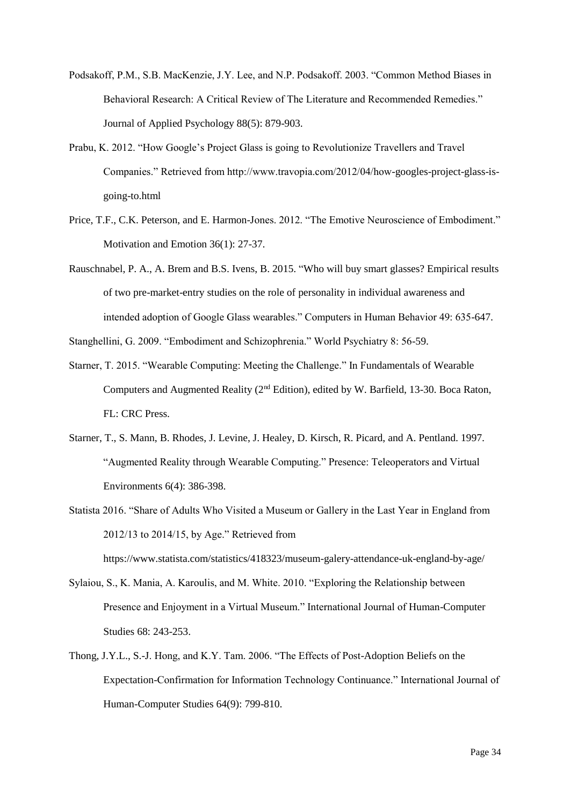- Podsakoff, P.M., S.B. MacKenzie, J.Y. Lee, and N.P. Podsakoff. 2003. "Common Method Biases in Behavioral Research: A Critical Review of The Literature and Recommended Remedies." Journal of Applied Psychology 88(5): 879-903.
- Prabu, K. 2012. "How Google's Project Glass is going to Revolutionize Travellers and Travel Companies." Retrieved from http://www.travopia.com/2012/04/how-googles-project-glass-isgoing-to.html
- Price, T.F., C.K. Peterson, and E. Harmon-Jones. 2012. "The Emotive Neuroscience of Embodiment." Motivation and Emotion 36(1): 27-37.
- Rauschnabel, P. A., A. Brem and B.S. Ivens, B. 2015. "Who will buy smart glasses? Empirical results of two pre-market-entry studies on the role of personality in individual awareness and intended adoption of Google Glass wearables." Computers in Human Behavior 49: 635-647.

Stanghellini, G. 2009. "Embodiment and Schizophrenia." World Psychiatry 8: 56-59.

- Starner, T. 2015. "Wearable Computing: Meeting the Challenge." In Fundamentals of Wearable Computers and Augmented Reality (2<sup>nd</sup> Edition), edited by W. Barfield, 13-30. Boca Raton, FL: CRC Press.
- Starner, T., S. Mann, B. Rhodes, J. Levine, J. Healey, D. Kirsch, R. Picard, and A. Pentland. 1997. "Augmented Reality through Wearable Computing." Presence: Teleoperators and Virtual Environments 6(4): 386-398.
- Statista 2016. "Share of Adults Who Visited a Museum or Gallery in the Last Year in England from 2012/13 to 2014/15, by Age." Retrieved from

https://www.statista.com/statistics/418323/museum-galery-attendance-uk-england-by-age/

- Sylaiou, S., K. Mania, A. Karoulis, and M. White. 2010. "Exploring the Relationship between Presence and Enjoyment in a Virtual Museum." International Journal of Human-Computer Studies 68: 243-253.
- Thong, J.Y.L., S.-J. Hong, and K.Y. Tam. 2006. "The Effects of Post-Adoption Beliefs on the Expectation-Confirmation for Information Technology Continuance." International Journal of Human-Computer Studies 64(9): 799-810.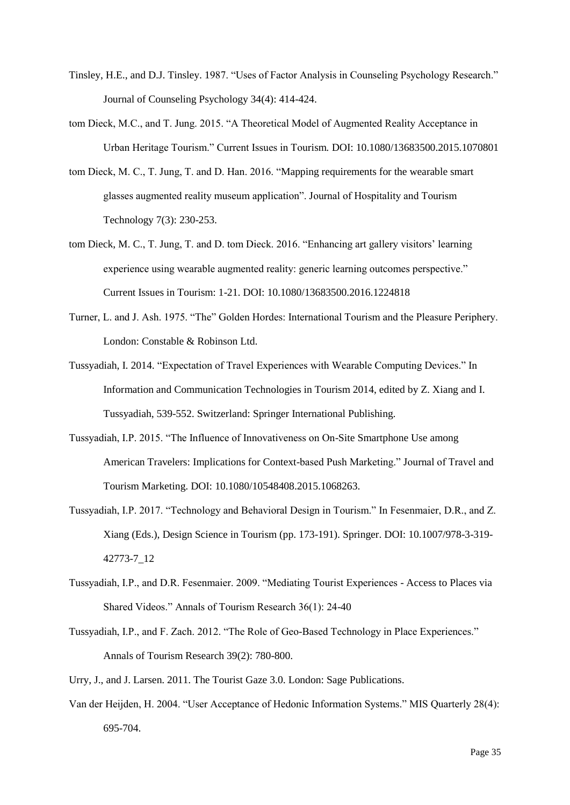- Tinsley, H.E., and D.J. Tinsley. 1987. "Uses of Factor Analysis in Counseling Psychology Research." Journal of Counseling Psychology 34(4): 414-424.
- tom Dieck, M.C., and T. Jung. 2015. "A Theoretical Model of Augmented Reality Acceptance in Urban Heritage Tourism." Current Issues in Tourism*.* DOI: 10.1080/13683500.2015.1070801
- tom Dieck, M. C., T. Jung, T. and D. Han. 2016. "Mapping requirements for the wearable smart glasses augmented reality museum application". Journal of Hospitality and Tourism Technology 7(3): 230-253.
- tom Dieck, M. C., T. Jung, T. and D. tom Dieck. 2016. "Enhancing art gallery visitors' learning experience using wearable augmented reality: generic learning outcomes perspective." Current Issues in Tourism: 1-21. DOI: 10.1080/13683500.2016.1224818
- Turner, L. and J. Ash. 1975. "The" Golden Hordes: International Tourism and the Pleasure Periphery. London: Constable & Robinson Ltd.
- Tussyadiah, I. 2014. "Expectation of Travel Experiences with Wearable Computing Devices." In Information and Communication Technologies in Tourism 2014, edited by Z. Xiang and I. Tussyadiah, 539-552. Switzerland: Springer International Publishing.
- Tussyadiah, I.P. 2015. "The Influence of Innovativeness on On-Site Smartphone Use among American Travelers: Implications for Context-based Push Marketing." Journal of Travel and Tourism Marketing. DOI: [10.1080/10548408.2015.1068263.](http://www.tandfonline.com/doi/abs/10.1080/10548408.2015.1068263#.Vjz1T4RPZtI)
- Tussyadiah, I.P. 2017. "Technology and Behavioral Design in Tourism." In Fesenmaier, D.R., and Z. Xiang (Eds.), Design Science in Tourism (pp. 173-191). Springer. DOI: 10.1007/978-3-319- 42773-7\_12
- Tussyadiah, I.P., and D.R. Fesenmaier. 2009. "Mediating Tourist Experiences Access to Places via Shared Videos." Annals of Tourism Research 36(1): 24-40
- Tussyadiah, I.P., and F. Zach. 2012. "The Role of Geo-Based Technology in Place Experiences." Annals of Tourism Research 39(2): 780-800.
- Urry, J., and J. Larsen. 2011. The Tourist Gaze 3.0. London: Sage Publications.
- Van der Heijden, H. 2004. "User Acceptance of Hedonic Information Systems." MIS Quarterly 28(4): 695-704.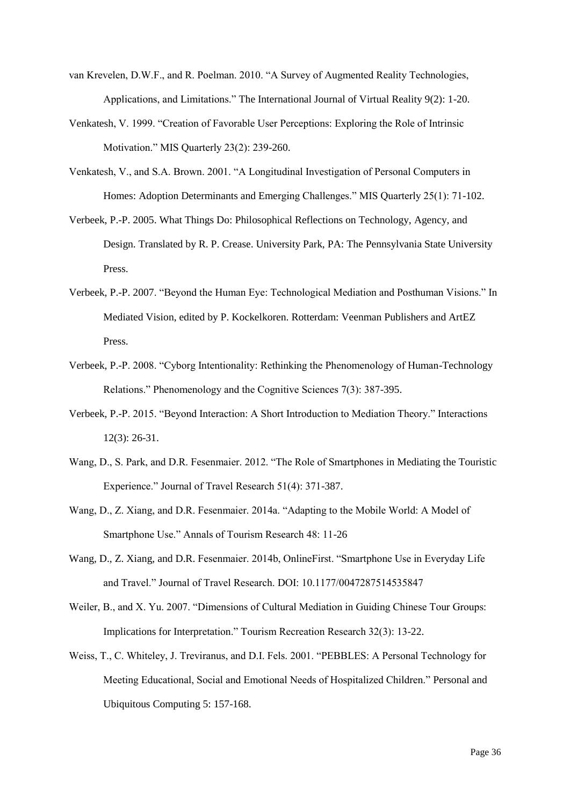- van Krevelen, D.W.F., and R. Poelman. 2010. "A Survey of Augmented Reality Technologies, Applications, and Limitations." The International Journal of Virtual Reality 9(2): 1-20.
- Venkatesh, V. 1999. "Creation of Favorable User Perceptions: Exploring the Role of Intrinsic Motivation." MIS Quarterly 23(2): 239-260.
- Venkatesh, V., and S.A. Brown. 2001. "A Longitudinal Investigation of Personal Computers in Homes: Adoption Determinants and Emerging Challenges." MIS Quarterly 25(1): 71-102.
- Verbeek, P.-P. 2005. What Things Do: Philosophical Reflections on Technology, Agency, and Design. Translated by R. P. Crease. University Park, PA: The Pennsylvania State University Press.
- Verbeek, P.-P. 2007. "Beyond the Human Eye: Technological Mediation and Posthuman Visions." In Mediated Vision, edited by P. Kockelkoren. Rotterdam: Veenman Publishers and ArtEZ Press.
- Verbeek, P.-P. 2008. "Cyborg Intentionality: Rethinking the Phenomenology of Human-Technology Relations." Phenomenology and the Cognitive Sciences 7(3): 387-395.
- Verbeek, P.-P. 2015. "Beyond Interaction: A Short Introduction to Mediation Theory." Interactions 12(3): 26-31.
- Wang, D., S. Park, and D.R. Fesenmaier. 2012. "The Role of Smartphones in Mediating the Touristic Experience." Journal of Travel Research 51(4): 371-387.
- Wang, D., Z. Xiang, and D.R. Fesenmaier. 2014a. "Adapting to the Mobile World: A Model of Smartphone Use." Annals of Tourism Research 48: 11-26
- Wang, D., Z. Xiang, and D.R. Fesenmaier. 2014b, OnlineFirst. "Smartphone Use in Everyday Life and Travel." Journal of Travel Research. DOI: 10.1177/0047287514535847
- Weiler, B., and X. Yu. 2007. "Dimensions of Cultural Mediation in Guiding Chinese Tour Groups: Implications for Interpretation." Tourism Recreation Research 32(3): 13-22.
- Weiss, T., C. Whiteley, J. Treviranus, and D.I. Fels. 2001. "PEBBLES: A Personal Technology for Meeting Educational, Social and Emotional Needs of Hospitalized Children." Personal and Ubiquitous Computing 5: 157-168.